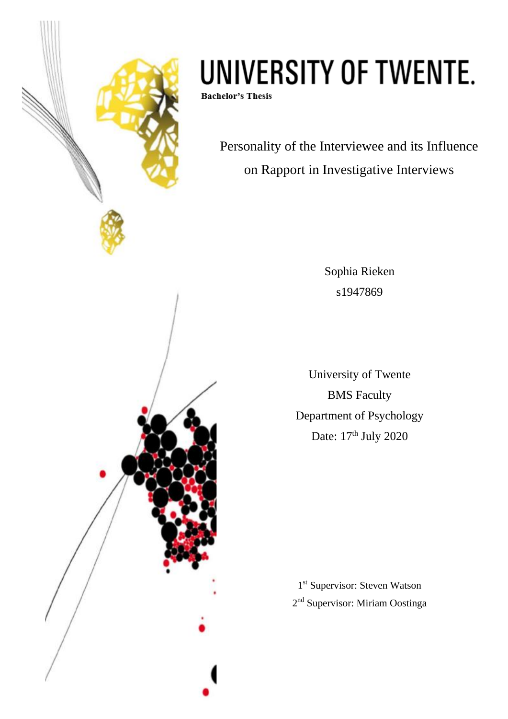

# UNIVERSITY OF TWENTE.

**Bachelor's Thesis** 

Personality of the Interviewee and its Influence on Rapport in Investigative Interviews

> Sophia Rieken s1947869

University of Twente BMS Faculty Department of Psychology Date: 17<sup>th</sup> July 2020

1 st Supervisor: Steven Watson 2<sup>nd</sup> Supervisor: Miriam Oostinga

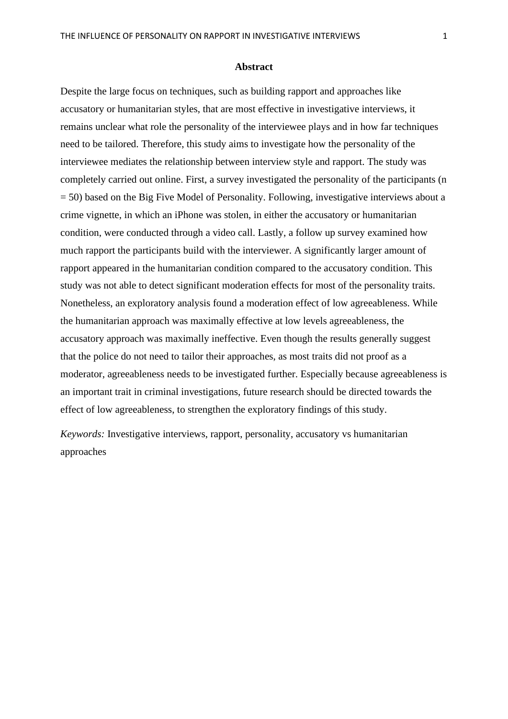### **Abstract**

Despite the large focus on techniques, such as building rapport and approaches like accusatory or humanitarian styles, that are most effective in investigative interviews, it remains unclear what role the personality of the interviewee plays and in how far techniques need to be tailored. Therefore, this study aims to investigate how the personality of the interviewee mediates the relationship between interview style and rapport. The study was completely carried out online. First, a survey investigated the personality of the participants (n = 50) based on the Big Five Model of Personality. Following, investigative interviews about a crime vignette, in which an iPhone was stolen, in either the accusatory or humanitarian condition, were conducted through a video call. Lastly, a follow up survey examined how much rapport the participants build with the interviewer. A significantly larger amount of rapport appeared in the humanitarian condition compared to the accusatory condition. This study was not able to detect significant moderation effects for most of the personality traits. Nonetheless, an exploratory analysis found a moderation effect of low agreeableness. While the humanitarian approach was maximally effective at low levels agreeableness, the accusatory approach was maximally ineffective. Even though the results generally suggest that the police do not need to tailor their approaches, as most traits did not proof as a moderator, agreeableness needs to be investigated further. Especially because agreeableness is an important trait in criminal investigations, future research should be directed towards the effect of low agreeableness, to strengthen the exploratory findings of this study.

*Keywords:* Investigative interviews, rapport, personality, accusatory vs humanitarian approaches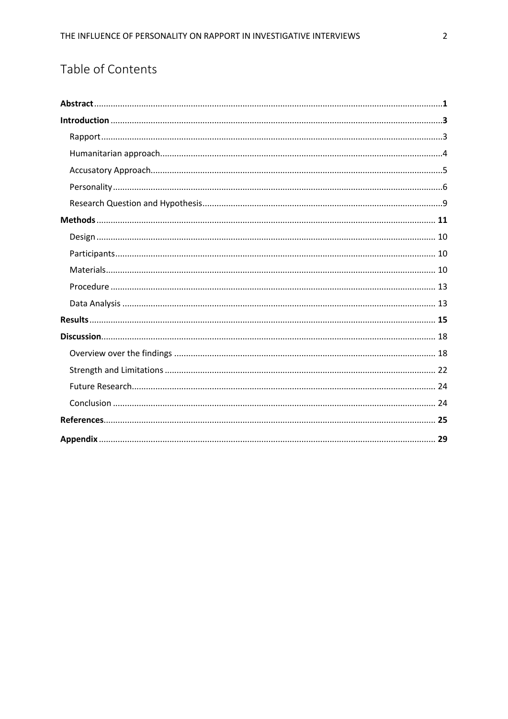# Table of Contents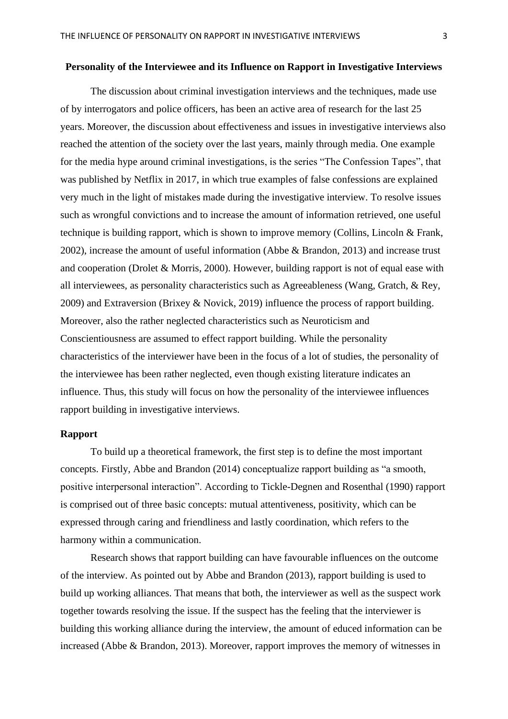### **Personality of the Interviewee and its Influence on Rapport in Investigative Interviews**

The discussion about criminal investigation interviews and the techniques, made use of by interrogators and police officers, has been an active area of research for the last 25 years. Moreover, the discussion about effectiveness and issues in investigative interviews also reached the attention of the society over the last years, mainly through media. One example for the media hype around criminal investigations, is the series "The Confession Tapes", that was published by Netflix in 2017, in which true examples of false confessions are explained very much in the light of mistakes made during the investigative interview. To resolve issues such as wrongful convictions and to increase the amount of information retrieved, one useful technique is building rapport, which is shown to improve memory (Collins, Lincoln & Frank, 2002), increase the amount of useful information (Abbe & Brandon, 2013) and increase trust and cooperation (Drolet & Morris, 2000). However, building rapport is not of equal ease with all interviewees, as personality characteristics such as Agreeableness (Wang, Gratch, & Rey, 2009) and Extraversion (Brixey & Novick, 2019) influence the process of rapport building. Moreover, also the rather neglected characteristics such as Neuroticism and Conscientiousness are assumed to effect rapport building. While the personality characteristics of the interviewer have been in the focus of a lot of studies, the personality of the interviewee has been rather neglected, even though existing literature indicates an influence. Thus, this study will focus on how the personality of the interviewee influences rapport building in investigative interviews.

### **Rapport**

To build up a theoretical framework, the first step is to define the most important concepts. Firstly, Abbe and Brandon (2014) conceptualize rapport building as "a smooth, positive interpersonal interaction". According to Tickle-Degnen and Rosenthal (1990) rapport is comprised out of three basic concepts: mutual attentiveness, positivity, which can be expressed through caring and friendliness and lastly coordination, which refers to the harmony within a communication.

Research shows that rapport building can have favourable influences on the outcome of the interview. As pointed out by Abbe and Brandon (2013), rapport building is used to build up working alliances. That means that both, the interviewer as well as the suspect work together towards resolving the issue. If the suspect has the feeling that the interviewer is building this working alliance during the interview, the amount of educed information can be increased (Abbe & Brandon, 2013). Moreover, rapport improves the memory of witnesses in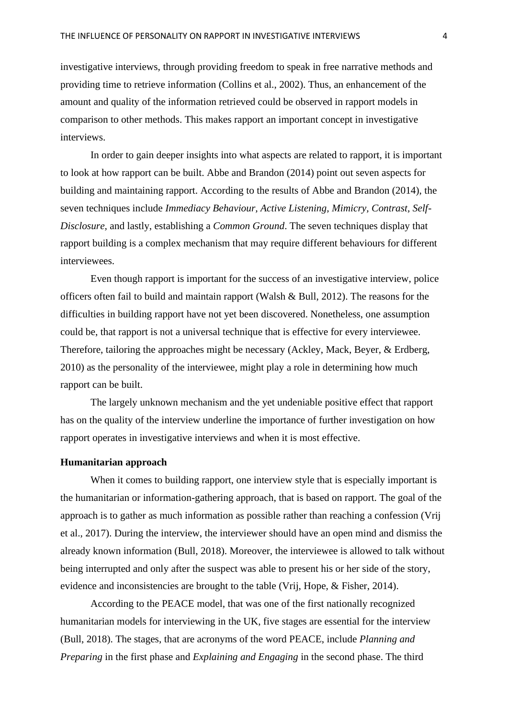investigative interviews, through providing freedom to speak in free narrative methods and providing time to retrieve information (Collins et al., 2002). Thus, an enhancement of the amount and quality of the information retrieved could be observed in rapport models in comparison to other methods. This makes rapport an important concept in investigative interviews.

In order to gain deeper insights into what aspects are related to rapport, it is important to look at how rapport can be built. Abbe and Brandon (2014) point out seven aspects for building and maintaining rapport. According to the results of Abbe and Brandon (2014), the seven techniques include *Immediacy Behaviour, Active Listening, Mimicry, Contrast, Self-Disclosure,* and lastly, establishing a *Common Ground*. The seven techniques display that rapport building is a complex mechanism that may require different behaviours for different interviewees.

Even though rapport is important for the success of an investigative interview, police officers often fail to build and maintain rapport (Walsh & Bull, 2012). The reasons for the difficulties in building rapport have not yet been discovered. Nonetheless, one assumption could be, that rapport is not a universal technique that is effective for every interviewee. Therefore, tailoring the approaches might be necessary (Ackley, Mack, Beyer, & Erdberg, 2010) as the personality of the interviewee, might play a role in determining how much rapport can be built.

The largely unknown mechanism and the yet undeniable positive effect that rapport has on the quality of the interview underline the importance of further investigation on how rapport operates in investigative interviews and when it is most effective.

### **Humanitarian approach**

When it comes to building rapport, one interview style that is especially important is the humanitarian or information-gathering approach, that is based on rapport. The goal of the approach is to gather as much information as possible rather than reaching a confession (Vrij et al., 2017). During the interview, the interviewer should have an open mind and dismiss the already known information (Bull, 2018). Moreover, the interviewee is allowed to talk without being interrupted and only after the suspect was able to present his or her side of the story, evidence and inconsistencies are brought to the table (Vrij, Hope, & Fisher, 2014).

According to the PEACE model, that was one of the first nationally recognized humanitarian models for interviewing in the UK, five stages are essential for the interview (Bull, 2018). The stages, that are acronyms of the word PEACE, include *Planning and Preparing* in the first phase and *Explaining and Engaging* in the second phase. The third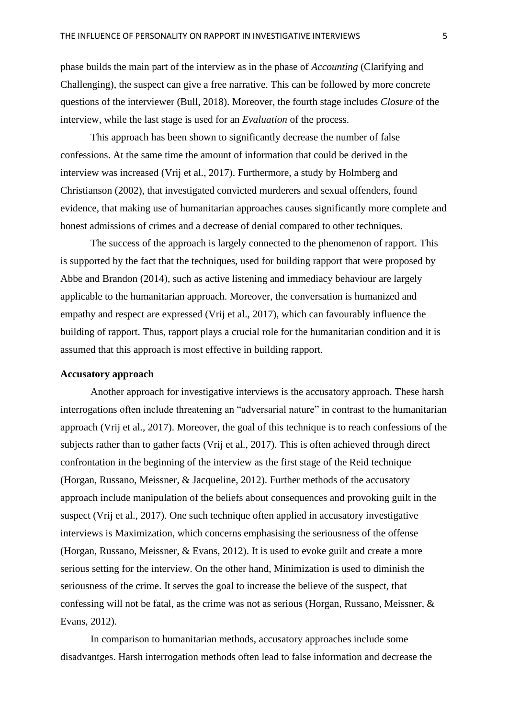phase builds the main part of the interview as in the phase of *Accounting* (Clarifying and Challenging), the suspect can give a free narrative. This can be followed by more concrete questions of the interviewer (Bull, 2018). Moreover, the fourth stage includes *Closure* of the interview, while the last stage is used for an *Evaluation* of the process.

This approach has been shown to significantly decrease the number of false confessions. At the same time the amount of information that could be derived in the interview was increased (Vrij et al., 2017). Furthermore, a study by Holmberg and Christianson (2002), that investigated convicted murderers and sexual offenders, found evidence, that making use of humanitarian approaches causes significantly more complete and honest admissions of crimes and a decrease of denial compared to other techniques.

The success of the approach is largely connected to the phenomenon of rapport. This is supported by the fact that the techniques, used for building rapport that were proposed by Abbe and Brandon (2014), such as active listening and immediacy behaviour are largely applicable to the humanitarian approach. Moreover, the conversation is humanized and empathy and respect are expressed (Vrij et al., 2017), which can favourably influence the building of rapport. Thus, rapport plays a crucial role for the humanitarian condition and it is assumed that this approach is most effective in building rapport.

### **Accusatory approach**

Another approach for investigative interviews is the accusatory approach. These harsh interrogations often include threatening an "adversarial nature" in contrast to the humanitarian approach (Vrij et al., 2017). Moreover, the goal of this technique is to reach confessions of the subjects rather than to gather facts (Vrij et al., 2017). This is often achieved through direct confrontation in the beginning of the interview as the first stage of the Reid technique (Horgan, Russano, Meissner, & Jacqueline, 2012). Further methods of the accusatory approach include manipulation of the beliefs about consequences and provoking guilt in the suspect (Vrij et al., 2017). One such technique often applied in accusatory investigative interviews is Maximization, which concerns emphasising the seriousness of the offense (Horgan, Russano, Meissner, & Evans, 2012). It is used to evoke guilt and create a more serious setting for the interview. On the other hand, Minimization is used to diminish the seriousness of the crime. It serves the goal to increase the believe of the suspect, that confessing will not be fatal, as the crime was not as serious (Horgan, Russano, Meissner, & Evans, 2012).

In comparison to humanitarian methods, accusatory approaches include some disadvantges. Harsh interrogation methods often lead to false information and decrease the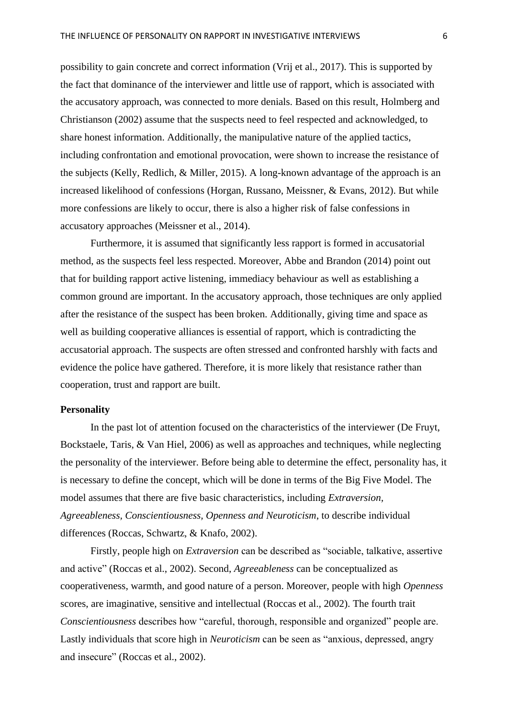possibility to gain concrete and correct information (Vrij et al., 2017). This is supported by the fact that dominance of the interviewer and little use of rapport, which is associated with the accusatory approach, was connected to more denials. Based on this result, Holmberg and Christianson (2002) assume that the suspects need to feel respected and acknowledged, to share honest information. Additionally, the manipulative nature of the applied tactics, including confrontation and emotional provocation, were shown to increase the resistance of the subjects (Kelly, Redlich, & Miller, 2015). A long-known advantage of the approach is an increased likelihood of confessions (Horgan, Russano, Meissner, & Evans, 2012). But while more confessions are likely to occur, there is also a higher risk of false confessions in accusatory approaches (Meissner et al., 2014).

Furthermore, it is assumed that significantly less rapport is formed in accusatorial method, as the suspects feel less respected. Moreover, Abbe and Brandon (2014) point out that for building rapport active listening, immediacy behaviour as well as establishing a common ground are important. In the accusatory approach, those techniques are only applied after the resistance of the suspect has been broken. Additionally, giving time and space as well as building cooperative alliances is essential of rapport, which is contradicting the accusatorial approach. The suspects are often stressed and confronted harshly with facts and evidence the police have gathered. Therefore, it is more likely that resistance rather than cooperation, trust and rapport are built.

### **Personality**

In the past lot of attention focused on the characteristics of the interviewer (De Fruyt, Bockstaele, Taris, & Van Hiel, 2006) as well as approaches and techniques, while neglecting the personality of the interviewer. Before being able to determine the effect, personality has, it is necessary to define the concept, which will be done in terms of the Big Five Model. The model assumes that there are five basic characteristics, including *Extraversion, Agreeableness, Conscientiousness, Openness and Neuroticism*, to describe individual differences (Roccas, Schwartz, & Knafo, 2002).

Firstly, people high on *Extraversion* can be described as "sociable, talkative, assertive and active" (Roccas et al., 2002). Second, *Agreeableness* can be conceptualized as cooperativeness, warmth, and good nature of a person. Moreover, people with high *Openness* scores, are imaginative, sensitive and intellectual (Roccas et al., 2002). The fourth trait *Conscientiousness* describes how "careful, thorough, responsible and organized" people are. Lastly individuals that score high in *Neuroticism* can be seen as "anxious, depressed, angry and insecure" (Roccas et al., 2002).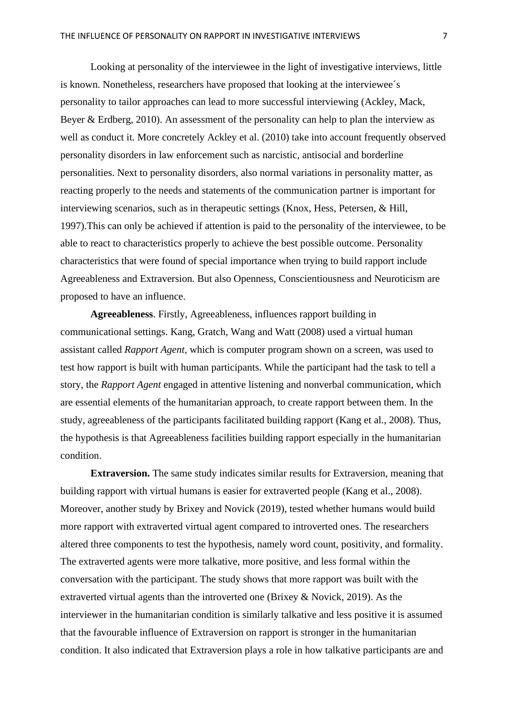Looking at personality of the interviewee in the light of investigative interviews, little is known. Nonetheless, researchers have proposed that looking at the interviewee´s personality to tailor approaches can lead to more successful interviewing (Ackley, Mack, Beyer & Erdberg, 2010). An assessment of the personality can help to plan the interview as well as conduct it. More concretely Ackley et al. (2010) take into account frequently observed personality disorders in law enforcement such as narcistic, antisocial and borderline personalities. Next to personality disorders, also normal variations in personality matter, as reacting properly to the needs and statements of the communication partner is important for interviewing scenarios, such as in therapeutic settings (Knox, Hess, Petersen, & Hill, 1997).This can only be achieved if attention is paid to the personality of the interviewee, to be able to react to characteristics properly to achieve the best possible outcome. Personality characteristics that were found of special importance when trying to build rapport include Agreeableness and Extraversion. But also Openness, Conscientiousness and Neuroticism are proposed to have an influence.

**Agreeableness**. Firstly, Agreeableness, influences rapport building in communicational settings. Kang, Gratch, Wang and Watt (2008) used a virtual human assistant called *Rapport Agent,* which is computer program shown on a screen, was used to test how rapport is built with human participants. While the participant had the task to tell a story, the *Rapport Agent* engaged in attentive listening and nonverbal communication, which are essential elements of the humanitarian approach, to create rapport between them. In the study, agreeableness of the participants facilitated building rapport (Kang et al., 2008). Thus, the hypothesis is that Agreeableness facilities building rapport especially in the humanitarian condition.

**Extraversion.** The same study indicates similar results for Extraversion, meaning that building rapport with virtual humans is easier for extraverted people (Kang et al., 2008). Moreover, another study by Brixey and Novick (2019), tested whether humans would build more rapport with extraverted virtual agent compared to introverted ones. The researchers altered three components to test the hypothesis, namely word count, positivity, and formality. The extraverted agents were more talkative, more positive, and less formal within the conversation with the participant. The study shows that more rapport was built with the extraverted virtual agents than the introverted one (Brixey & Novick, 2019). As the interviewer in the humanitarian condition is similarly talkative and less positive it is assumed that the favourable influence of Extraversion on rapport is stronger in the humanitarian condition. It also indicated that Extraversion plays a role in how talkative participants are and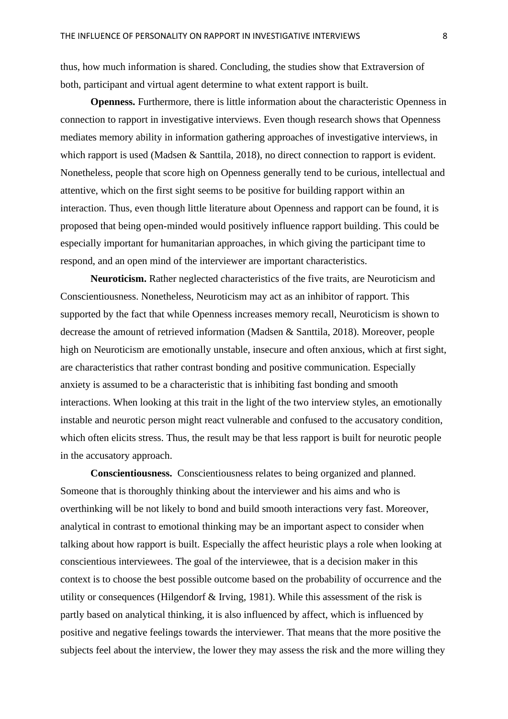thus, how much information is shared. Concluding, the studies show that Extraversion of both, participant and virtual agent determine to what extent rapport is built.

**Openness.** Furthermore, there is little information about the characteristic Openness in connection to rapport in investigative interviews. Even though research shows that Openness mediates memory ability in information gathering approaches of investigative interviews, in which rapport is used (Madsen & Santtila, 2018), no direct connection to rapport is evident. Nonetheless, people that score high on Openness generally tend to be curious, intellectual and attentive, which on the first sight seems to be positive for building rapport within an interaction. Thus, even though little literature about Openness and rapport can be found, it is proposed that being open-minded would positively influence rapport building. This could be especially important for humanitarian approaches, in which giving the participant time to respond, and an open mind of the interviewer are important characteristics.

**Neuroticism.** Rather neglected characteristics of the five traits, are Neuroticism and Conscientiousness. Nonetheless, Neuroticism may act as an inhibitor of rapport. This supported by the fact that while Openness increases memory recall, Neuroticism is shown to decrease the amount of retrieved information (Madsen & Santtila, 2018). Moreover, people high on Neuroticism are emotionally unstable, insecure and often anxious, which at first sight, are characteristics that rather contrast bonding and positive communication. Especially anxiety is assumed to be a characteristic that is inhibiting fast bonding and smooth interactions. When looking at this trait in the light of the two interview styles, an emotionally instable and neurotic person might react vulnerable and confused to the accusatory condition, which often elicits stress. Thus, the result may be that less rapport is built for neurotic people in the accusatory approach.

**Conscientiousness.** Conscientiousness relates to being organized and planned. Someone that is thoroughly thinking about the interviewer and his aims and who is overthinking will be not likely to bond and build smooth interactions very fast. Moreover, analytical in contrast to emotional thinking may be an important aspect to consider when talking about how rapport is built. Especially the affect heuristic plays a role when looking at conscientious interviewees. The goal of the interviewee, that is a decision maker in this context is to choose the best possible outcome based on the probability of occurrence and the utility or consequences (Hilgendorf & Irving, 1981). While this assessment of the risk is partly based on analytical thinking, it is also influenced by affect, which is influenced by positive and negative feelings towards the interviewer. That means that the more positive the subjects feel about the interview, the lower they may assess the risk and the more willing they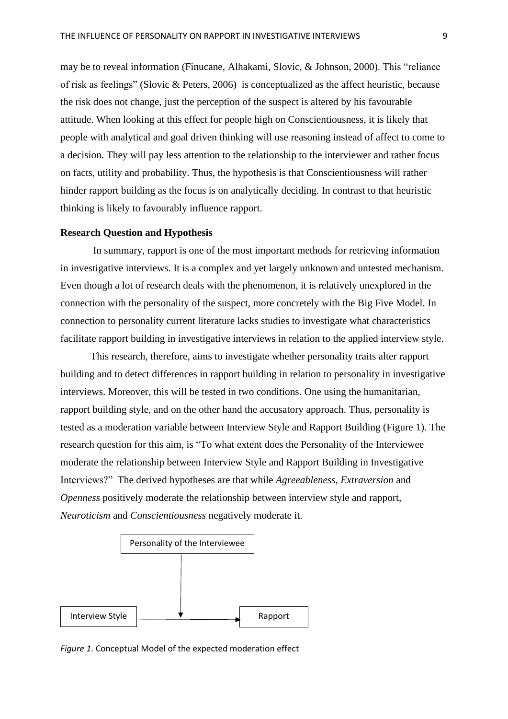may be to reveal information (Finucane, Alhakami, Slovic, & Johnson, 2000). This "reliance of risk as feelings" (Slovic & Peters, 2006) is conceptualized as the affect heuristic, because the risk does not change, just the perception of the suspect is altered by his favourable attitude. When looking at this effect for people high on Conscientiousness, it is likely that people with analytical and goal driven thinking will use reasoning instead of affect to come to a decision. They will pay less attention to the relationship to the interviewer and rather focus on facts, utility and probability. Thus, the hypothesis is that Conscientiousness will rather hinder rapport building as the focus is on analytically deciding. In contrast to that heuristic thinking is likely to favourably influence rapport.

### **Research Question and Hypothesis**

In summary, rapport is one of the most important methods for retrieving information in investigative interviews. It is a complex and yet largely unknown and untested mechanism. Even though a lot of research deals with the phenomenon, it is relatively unexplored in the connection with the personality of the suspect, more concretely with the Big Five Model. In connection to personality current literature lacks studies to investigate what characteristics facilitate rapport building in investigative interviews in relation to the applied interview style.

This research, therefore, aims to investigate whether personality traits alter rapport building and to detect differences in rapport building in relation to personality in investigative interviews. Moreover, this will be tested in two conditions. One using the humanitarian, rapport building style, and on the other hand the accusatory approach. Thus, personality is tested as a moderation variable between Interview Style and Rapport Building (Figure 1). The research question for this aim, is "To what extent does the Personality of the Interviewee moderate the relationship between Interview Style and Rapport Building in Investigative Interviews?" The derived hypotheses are that while *Agreeableness, Extraversion* and *Openness* positively moderate the relationship between interview style and rapport, *Neuroticism* and *Conscientiousness* negatively moderate it.



*Figure 1.* Conceptual Model of the expected moderation effect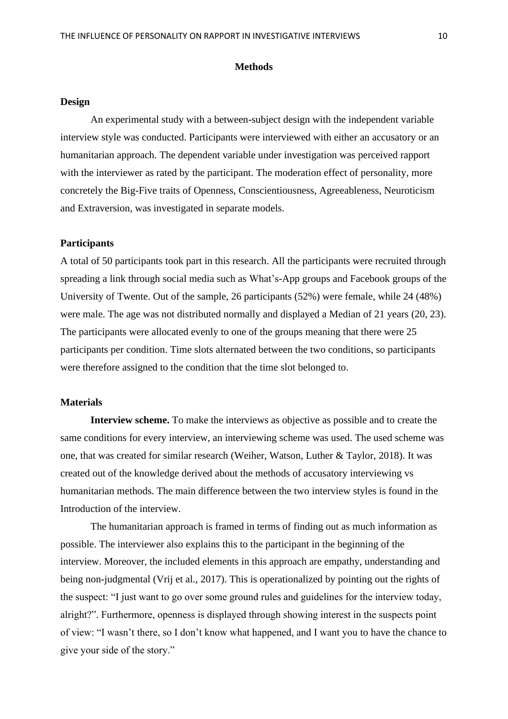### **Methods**

### **Design**

An experimental study with a between-subject design with the independent variable interview style was conducted. Participants were interviewed with either an accusatory or an humanitarian approach. The dependent variable under investigation was perceived rapport with the interviewer as rated by the participant. The moderation effect of personality, more concretely the Big-Five traits of Openness, Conscientiousness, Agreeableness, Neuroticism and Extraversion, was investigated in separate models.

### **Participants**

A total of 50 participants took part in this research. All the participants were recruited through spreading a link through social media such as What's-App groups and Facebook groups of the University of Twente. Out of the sample, 26 participants (52%) were female, while 24 (48%) were male. The age was not distributed normally and displayed a Median of 21 years (20, 23). The participants were allocated evenly to one of the groups meaning that there were 25 participants per condition. Time slots alternated between the two conditions, so participants were therefore assigned to the condition that the time slot belonged to.

### **Materials**

**Interview scheme.** To make the interviews as objective as possible and to create the same conditions for every interview, an interviewing scheme was used. The used scheme was one, that was created for similar research (Weiher, Watson, Luther & Taylor, 2018). It was created out of the knowledge derived about the methods of accusatory interviewing vs humanitarian methods. The main difference between the two interview styles is found in the Introduction of the interview.

The humanitarian approach is framed in terms of finding out as much information as possible. The interviewer also explains this to the participant in the beginning of the interview. Moreover, the included elements in this approach are empathy, understanding and being non-judgmental (Vrij et al., 2017). This is operationalized by pointing out the rights of the suspect: "I just want to go over some ground rules and guidelines for the interview today, alright?". Furthermore, openness is displayed through showing interest in the suspects point of view: "I wasn't there, so I don't know what happened, and I want you to have the chance to give your side of the story."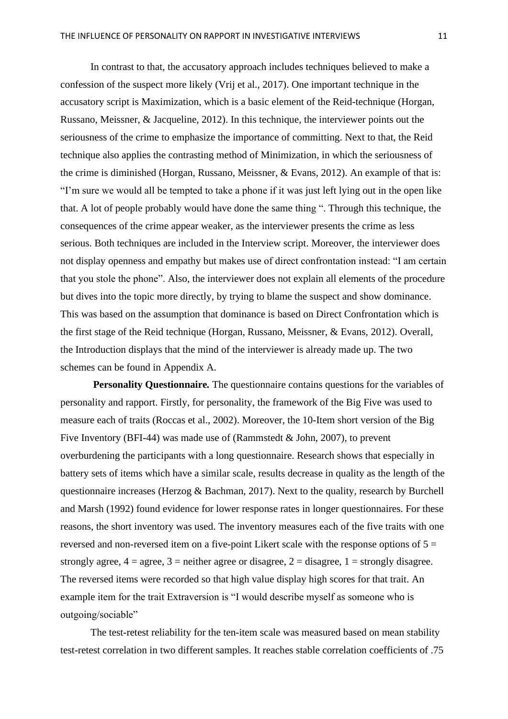In contrast to that, the accusatory approach includes techniques believed to make a confession of the suspect more likely (Vrij et al., 2017). One important technique in the accusatory script is Maximization, which is a basic element of the Reid-technique (Horgan, Russano, Meissner, & Jacqueline, 2012). In this technique, the interviewer points out the seriousness of the crime to emphasize the importance of committing. Next to that, the Reid technique also applies the contrasting method of Minimization, in which the seriousness of the crime is diminished (Horgan, Russano, Meissner, & Evans, 2012). An example of that is: "I'm sure we would all be tempted to take a phone if it was just left lying out in the open like that. A lot of people probably would have done the same thing ". Through this technique, the consequences of the crime appear weaker, as the interviewer presents the crime as less serious. Both techniques are included in the Interview script. Moreover, the interviewer does not display openness and empathy but makes use of direct confrontation instead: "I am certain that you stole the phone". Also, the interviewer does not explain all elements of the procedure but dives into the topic more directly, by trying to blame the suspect and show dominance. This was based on the assumption that dominance is based on Direct Confrontation which is the first stage of the Reid technique (Horgan, Russano, Meissner, & Evans, 2012). Overall, the Introduction displays that the mind of the interviewer is already made up. The two schemes can be found in Appendix A.

**Personality Questionnaire***.* The questionnaire contains questions for the variables of personality and rapport. Firstly, for personality, the framework of the Big Five was used to measure each of traits (Roccas et al., 2002). Moreover, the 10-Item short version of the Big Five Inventory (BFI-44) was made use of (Rammstedt & John, 2007), to prevent overburdening the participants with a long questionnaire. Research shows that especially in battery sets of items which have a similar scale, results decrease in quality as the length of the questionnaire increases (Herzog & Bachman, 2017). Next to the quality, research by Burchell and Marsh (1992) found evidence for lower response rates in longer questionnaires. For these reasons, the short inventory was used. The inventory measures each of the five traits with one reversed and non-reversed item on a five-point Likert scale with the response options of  $5 =$ strongly agree,  $4 = \text{agree}$ ,  $3 = \text{neither agree}$  or disagree,  $2 = \text{disagree}$ ,  $1 = \text{strongly disagree}$ . The reversed items were recorded so that high value display high scores for that trait. An example item for the trait Extraversion is "I would describe myself as someone who is outgoing/sociable"

The test-retest reliability for the ten-item scale was measured based on mean stability test-retest correlation in two different samples. It reaches stable correlation coefficients of .75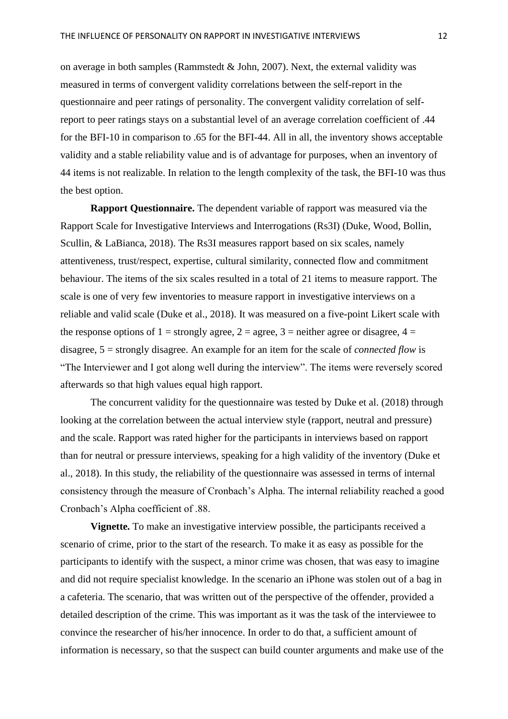on average in both samples (Rammstedt & John, 2007). Next, the external validity was measured in terms of convergent validity correlations between the self-report in the questionnaire and peer ratings of personality. The convergent validity correlation of selfreport to peer ratings stays on a substantial level of an average correlation coefficient of .44 for the BFI-10 in comparison to .65 for the BFI-44. All in all, the inventory shows acceptable validity and a stable reliability value and is of advantage for purposes, when an inventory of 44 items is not realizable. In relation to the length complexity of the task, the BFI-10 was thus the best option.

**Rapport Questionnaire.** The dependent variable of rapport was measured via the Rapport Scale for Investigative Interviews and Interrogations (Rs3I) (Duke, Wood, Bollin, Scullin, & LaBianca, 2018). The Rs3I measures rapport based on six scales, namely attentiveness, trust/respect, expertise, cultural similarity, connected flow and commitment behaviour. The items of the six scales resulted in a total of 21 items to measure rapport. The scale is one of very few inventories to measure rapport in investigative interviews on a reliable and valid scale (Duke et al., 2018). It was measured on a five-point Likert scale with the response options of 1 = strongly agree, 2 = agree, 3 = neither agree or disagree, 4 = disagree, 5 = strongly disagree. An example for an item for the scale of *connected flow* is "The Interviewer and I got along well during the interview". The items were reversely scored afterwards so that high values equal high rapport.

The concurrent validity for the questionnaire was tested by Duke et al. (2018) through looking at the correlation between the actual interview style (rapport, neutral and pressure) and the scale. Rapport was rated higher for the participants in interviews based on rapport than for neutral or pressure interviews, speaking for a high validity of the inventory (Duke et al., 2018). In this study, the reliability of the questionnaire was assessed in terms of internal consistency through the measure of Cronbach's Alpha. The internal reliability reached a good Cronbach's Alpha coefficient of .88.

**Vignette.** To make an investigative interview possible, the participants received a scenario of crime, prior to the start of the research. To make it as easy as possible for the participants to identify with the suspect, a minor crime was chosen, that was easy to imagine and did not require specialist knowledge. In the scenario an iPhone was stolen out of a bag in a cafeteria. The scenario, that was written out of the perspective of the offender, provided a detailed description of the crime. This was important as it was the task of the interviewee to convince the researcher of his/her innocence. In order to do that, a sufficient amount of information is necessary, so that the suspect can build counter arguments and make use of the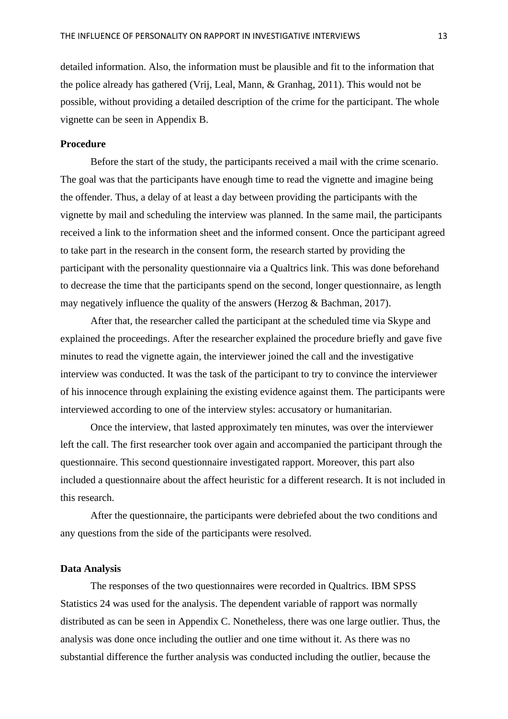detailed information. Also, the information must be plausible and fit to the information that the police already has gathered (Vrij, Leal, Mann, & Granhag, 2011). This would not be possible, without providing a detailed description of the crime for the participant. The whole vignette can be seen in Appendix B.

# **Procedure**

Before the start of the study, the participants received a mail with the crime scenario. The goal was that the participants have enough time to read the vignette and imagine being the offender. Thus, a delay of at least a day between providing the participants with the vignette by mail and scheduling the interview was planned. In the same mail, the participants received a link to the information sheet and the informed consent. Once the participant agreed to take part in the research in the consent form, the research started by providing the participant with the personality questionnaire via a Qualtrics link. This was done beforehand to decrease the time that the participants spend on the second, longer questionnaire, as length may negatively influence the quality of the answers (Herzog & Bachman, 2017).

After that, the researcher called the participant at the scheduled time via Skype and explained the proceedings. After the researcher explained the procedure briefly and gave five minutes to read the vignette again, the interviewer joined the call and the investigative interview was conducted. It was the task of the participant to try to convince the interviewer of his innocence through explaining the existing evidence against them. The participants were interviewed according to one of the interview styles: accusatory or humanitarian.

Once the interview, that lasted approximately ten minutes, was over the interviewer left the call. The first researcher took over again and accompanied the participant through the questionnaire. This second questionnaire investigated rapport. Moreover, this part also included a questionnaire about the affect heuristic for a different research. It is not included in this research.

After the questionnaire, the participants were debriefed about the two conditions and any questions from the side of the participants were resolved.

### **Data Analysis**

The responses of the two questionnaires were recorded in Qualtrics. IBM SPSS Statistics 24 was used for the analysis. The dependent variable of rapport was normally distributed as can be seen in Appendix C. Nonetheless, there was one large outlier. Thus, the analysis was done once including the outlier and one time without it. As there was no substantial difference the further analysis was conducted including the outlier, because the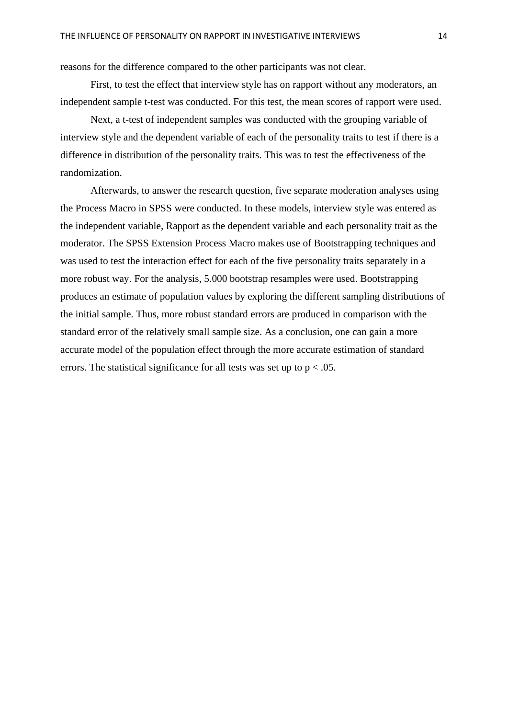reasons for the difference compared to the other participants was not clear.

First, to test the effect that interview style has on rapport without any moderators, an independent sample t-test was conducted. For this test, the mean scores of rapport were used.

Next, a t-test of independent samples was conducted with the grouping variable of interview style and the dependent variable of each of the personality traits to test if there is a difference in distribution of the personality traits. This was to test the effectiveness of the randomization.

Afterwards, to answer the research question, five separate moderation analyses using the Process Macro in SPSS were conducted. In these models, interview style was entered as the independent variable, Rapport as the dependent variable and each personality trait as the moderator. The SPSS Extension Process Macro makes use of Bootstrapping techniques and was used to test the interaction effect for each of the five personality traits separately in a more robust way. For the analysis, 5.000 bootstrap resamples were used. Bootstrapping produces an estimate of population values by exploring the different sampling distributions of the initial sample. Thus, more robust standard errors are produced in comparison with the standard error of the relatively small sample size. As a conclusion, one can gain a more accurate model of the population effect through the more accurate estimation of standard errors. The statistical significance for all tests was set up to  $p < .05$ .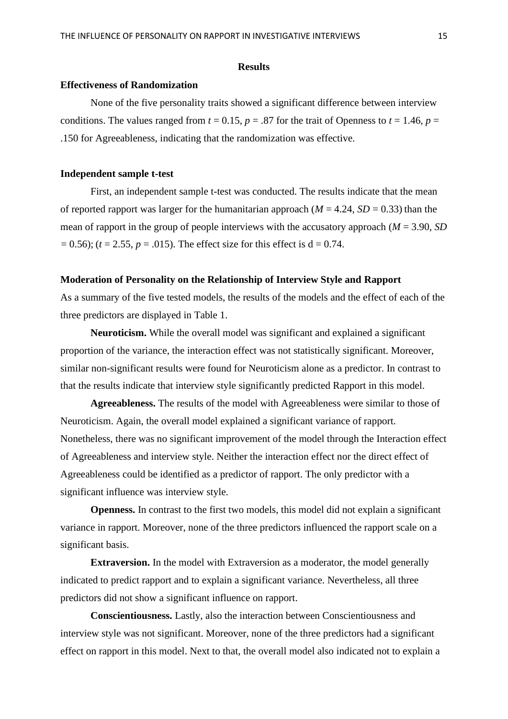### **Results**

# **Effectiveness of Randomization**

None of the five personality traits showed a significant difference between interview conditions. The values ranged from  $t = 0.15$ ,  $p = .87$  for the trait of Openness to  $t = 1.46$ ,  $p =$ .150 for Agreeableness, indicating that the randomization was effective.

### **Independent sample t-test**

First, an independent sample t-test was conducted. The results indicate that the mean of reported rapport was larger for the humanitarian approach ( $M = 4.24$ ,  $SD = 0.33$ ) than the mean of rapport in the group of people interviews with the accusatory approach (*M* = 3.90, *SD*  $= 0.56$ ; (*t* = 2.55, *p* = .015). The effect size for this effect is d = 0.74.

### **Moderation of Personality on the Relationship of Interview Style and Rapport**

As a summary of the five tested models, the results of the models and the effect of each of the three predictors are displayed in Table 1.

**Neuroticism.** While the overall model was significant and explained a significant proportion of the variance, the interaction effect was not statistically significant. Moreover, similar non-significant results were found for Neuroticism alone as a predictor. In contrast to that the results indicate that interview style significantly predicted Rapport in this model.

**Agreeableness.** The results of the model with Agreeableness were similar to those of Neuroticism. Again, the overall model explained a significant variance of rapport. Nonetheless, there was no significant improvement of the model through the Interaction effect of Agreeableness and interview style. Neither the interaction effect nor the direct effect of Agreeableness could be identified as a predictor of rapport. The only predictor with a significant influence was interview style.

**Openness.** In contrast to the first two models, this model did not explain a significant variance in rapport. Moreover, none of the three predictors influenced the rapport scale on a significant basis.

**Extraversion.** In the model with Extraversion as a moderator, the model generally indicated to predict rapport and to explain a significant variance. Nevertheless, all three predictors did not show a significant influence on rapport.

**Conscientiousness.** Lastly, also the interaction between Conscientiousness and interview style was not significant. Moreover, none of the three predictors had a significant effect on rapport in this model. Next to that, the overall model also indicated not to explain a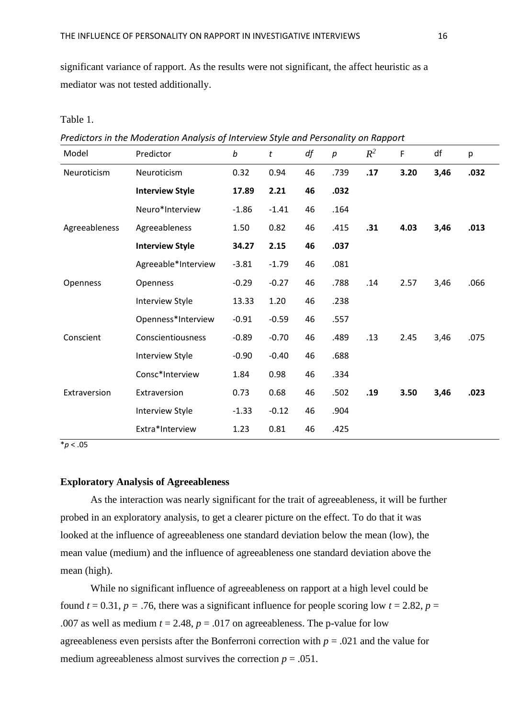significant variance of rapport. As the results were not significant, the affect heuristic as a mediator was not tested additionally.

Table 1.

*Predictors in the Moderation Analysis of Interview Style and Personality on Rapport*

| Model         | Predictor              | b       | t       | df | $\boldsymbol{p}$ | $R^2$ | F    | df   | p    |
|---------------|------------------------|---------|---------|----|------------------|-------|------|------|------|
| Neuroticism   | Neuroticism            | 0.32    | 0.94    | 46 | .739             | .17   | 3.20 | 3,46 | .032 |
|               | <b>Interview Style</b> | 17.89   | 2.21    | 46 | .032             |       |      |      |      |
|               | Neuro*Interview        | $-1.86$ | $-1.41$ | 46 | .164             |       |      |      |      |
| Agreeableness | Agreeableness          | 1.50    | 0.82    | 46 | .415             | .31   | 4.03 | 3,46 | .013 |
|               | <b>Interview Style</b> | 34.27   | 2.15    | 46 | .037             |       |      |      |      |
|               | Agreeable*Interview    | $-3.81$ | $-1.79$ | 46 | .081             |       |      |      |      |
| Openness      | Openness               | $-0.29$ | $-0.27$ | 46 | .788             | .14   | 2.57 | 3,46 | .066 |
|               | <b>Interview Style</b> | 13.33   | 1.20    | 46 | .238             |       |      |      |      |
|               | Openness*Interview     | $-0.91$ | $-0.59$ | 46 | .557             |       |      |      |      |
| Conscient     | Conscientiousness      | $-0.89$ | $-0.70$ | 46 | .489             | .13   | 2.45 | 3,46 | .075 |
|               | Interview Style        | $-0.90$ | $-0.40$ | 46 | .688             |       |      |      |      |
|               | Consc*Interview        | 1.84    | 0.98    | 46 | .334             |       |      |      |      |
| Extraversion  | Extraversion           | 0.73    | 0.68    | 46 | .502             | .19   | 3.50 | 3,46 | .023 |
|               | <b>Interview Style</b> | $-1.33$ | $-0.12$ | 46 | .904             |       |      |      |      |
|               | Extra*Interview        | 1.23    | 0.81    | 46 | .425             |       |      |      |      |

 $p < .05$ 

### **Exploratory Analysis of Agreeableness**

As the interaction was nearly significant for the trait of agreeableness, it will be further probed in an exploratory analysis, to get a clearer picture on the effect. To do that it was looked at the influence of agreeableness one standard deviation below the mean (low), the mean value (medium) and the influence of agreeableness one standard deviation above the mean (high).

While no significant influence of agreeableness on rapport at a high level could be found  $t = 0.31$ ,  $p = .76$ , there was a significant influence for people scoring low  $t = 2.82$ ,  $p =$ .007 as well as medium  $t = 2.48$ ,  $p = .017$  on agreeableness. The p-value for low agreeableness even persists after the Bonferroni correction with *p* = .021 and the value for medium agreeableness almost survives the correction  $p = .051$ .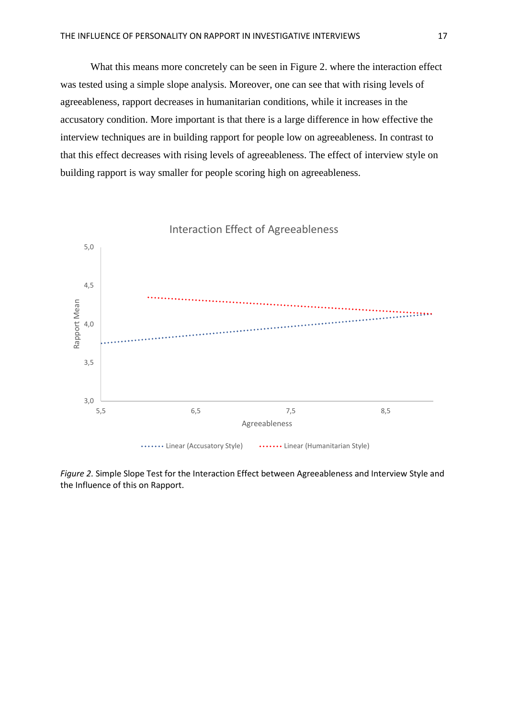What this means more concretely can be seen in Figure 2. where the interaction effect was tested using a simple slope analysis. Moreover, one can see that with rising levels of agreeableness, rapport decreases in humanitarian conditions, while it increases in the accusatory condition. More important is that there is a large difference in how effective the interview techniques are in building rapport for people low on agreeableness. In contrast to that this effect decreases with rising levels of agreeableness. The effect of interview style on building rapport is way smaller for people scoring high on agreeableness.



*Figure 2.* Simple Slope Test for the Interaction Effect between Agreeableness and Interview Style and the Influence of this on Rapport.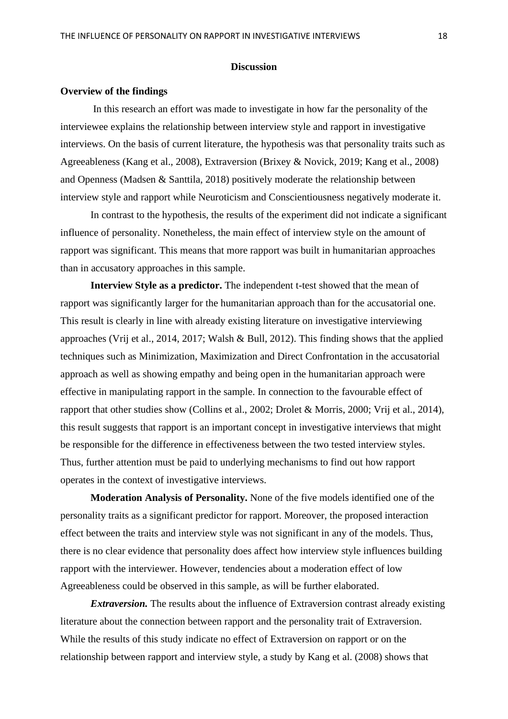### **Discussion**

### **Overview of the findings**

In this research an effort was made to investigate in how far the personality of the interviewee explains the relationship between interview style and rapport in investigative interviews. On the basis of current literature, the hypothesis was that personality traits such as Agreeableness (Kang et al., 2008), Extraversion (Brixey & Novick, 2019; Kang et al., 2008) and Openness (Madsen & Santtila, 2018) positively moderate the relationship between interview style and rapport while Neuroticism and Conscientiousness negatively moderate it.

In contrast to the hypothesis, the results of the experiment did not indicate a significant influence of personality. Nonetheless, the main effect of interview style on the amount of rapport was significant. This means that more rapport was built in humanitarian approaches than in accusatory approaches in this sample.

**Interview Style as a predictor.** The independent t-test showed that the mean of rapport was significantly larger for the humanitarian approach than for the accusatorial one. This result is clearly in line with already existing literature on investigative interviewing approaches (Vrij et al., 2014, 2017; Walsh & Bull, 2012). This finding shows that the applied techniques such as Minimization, Maximization and Direct Confrontation in the accusatorial approach as well as showing empathy and being open in the humanitarian approach were effective in manipulating rapport in the sample. In connection to the favourable effect of rapport that other studies show (Collins et al., 2002; Drolet & Morris, 2000; Vrij et al., 2014), this result suggests that rapport is an important concept in investigative interviews that might be responsible for the difference in effectiveness between the two tested interview styles. Thus, further attention must be paid to underlying mechanisms to find out how rapport operates in the context of investigative interviews.

**Moderation Analysis of Personality.** None of the five models identified one of the personality traits as a significant predictor for rapport. Moreover, the proposed interaction effect between the traits and interview style was not significant in any of the models. Thus, there is no clear evidence that personality does affect how interview style influences building rapport with the interviewer. However, tendencies about a moderation effect of low Agreeableness could be observed in this sample, as will be further elaborated.

*Extraversion.* The results about the influence of Extraversion contrast already existing literature about the connection between rapport and the personality trait of Extraversion. While the results of this study indicate no effect of Extraversion on rapport or on the relationship between rapport and interview style, a study by Kang et al. (2008) shows that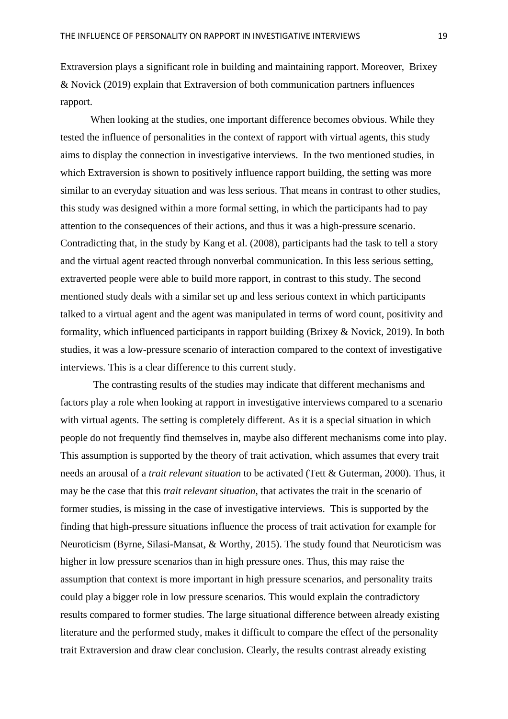Extraversion plays a significant role in building and maintaining rapport. Moreover, Brixey & Novick (2019) explain that Extraversion of both communication partners influences rapport.

When looking at the studies, one important difference becomes obvious. While they tested the influence of personalities in the context of rapport with virtual agents, this study aims to display the connection in investigative interviews. In the two mentioned studies, in which Extraversion is shown to positively influence rapport building, the setting was more similar to an everyday situation and was less serious. That means in contrast to other studies, this study was designed within a more formal setting, in which the participants had to pay attention to the consequences of their actions, and thus it was a high-pressure scenario. Contradicting that, in the study by Kang et al. (2008), participants had the task to tell a story and the virtual agent reacted through nonverbal communication. In this less serious setting, extraverted people were able to build more rapport, in contrast to this study. The second mentioned study deals with a similar set up and less serious context in which participants talked to a virtual agent and the agent was manipulated in terms of word count, positivity and formality, which influenced participants in rapport building (Brixey & Novick, 2019). In both studies, it was a low-pressure scenario of interaction compared to the context of investigative interviews. This is a clear difference to this current study.

The contrasting results of the studies may indicate that different mechanisms and factors play a role when looking at rapport in investigative interviews compared to a scenario with virtual agents. The setting is completely different. As it is a special situation in which people do not frequently find themselves in, maybe also different mechanisms come into play. This assumption is supported by the theory of trait activation, which assumes that every trait needs an arousal of a *trait relevant situation* to be activated (Tett & Guterman, 2000). Thus, it may be the case that this *trait relevant situation*, that activates the trait in the scenario of former studies, is missing in the case of investigative interviews. This is supported by the finding that high-pressure situations influence the process of trait activation for example for Neuroticism (Byrne, Silasi-Mansat, & Worthy, 2015). The study found that Neuroticism was higher in low pressure scenarios than in high pressure ones. Thus, this may raise the assumption that context is more important in high pressure scenarios, and personality traits could play a bigger role in low pressure scenarios. This would explain the contradictory results compared to former studies. The large situational difference between already existing literature and the performed study, makes it difficult to compare the effect of the personality trait Extraversion and draw clear conclusion. Clearly, the results contrast already existing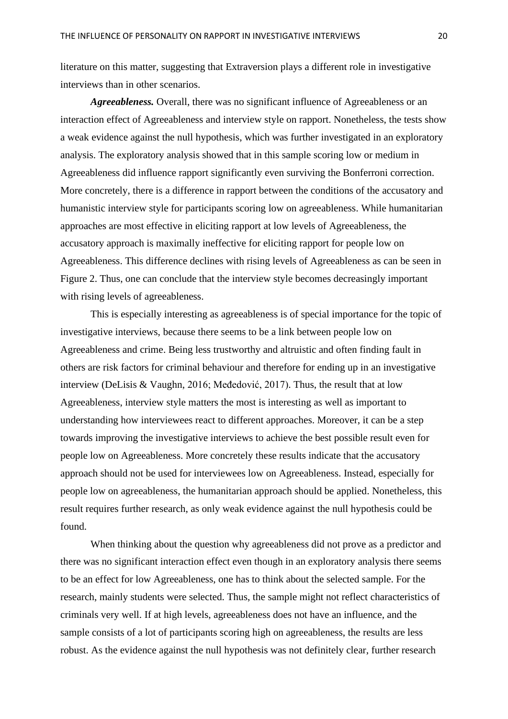literature on this matter, suggesting that Extraversion plays a different role in investigative interviews than in other scenarios.

*Agreeableness.* Overall, there was no significant influence of Agreeableness or an interaction effect of Agreeableness and interview style on rapport. Nonetheless, the tests show a weak evidence against the null hypothesis, which was further investigated in an exploratory analysis. The exploratory analysis showed that in this sample scoring low or medium in Agreeableness did influence rapport significantly even surviving the Bonferroni correction. More concretely, there is a difference in rapport between the conditions of the accusatory and humanistic interview style for participants scoring low on agreeableness. While humanitarian approaches are most effective in eliciting rapport at low levels of Agreeableness, the accusatory approach is maximally ineffective for eliciting rapport for people low on Agreeableness. This difference declines with rising levels of Agreeableness as can be seen in Figure 2. Thus, one can conclude that the interview style becomes decreasingly important with rising levels of agreeableness.

This is especially interesting as agreeableness is of special importance for the topic of investigative interviews, because there seems to be a link between people low on Agreeableness and crime. Being less trustworthy and altruistic and often finding fault in others are risk factors for criminal behaviour and therefore for ending up in an investigative interview (DeLisis & Vaughn, 2016; Međedović, 2017). Thus, the result that at low Agreeableness, interview style matters the most is interesting as well as important to understanding how interviewees react to different approaches. Moreover, it can be a step towards improving the investigative interviews to achieve the best possible result even for people low on Agreeableness. More concretely these results indicate that the accusatory approach should not be used for interviewees low on Agreeableness. Instead, especially for people low on agreeableness, the humanitarian approach should be applied. Nonetheless, this result requires further research, as only weak evidence against the null hypothesis could be found.

When thinking about the question why agreeableness did not prove as a predictor and there was no significant interaction effect even though in an exploratory analysis there seems to be an effect for low Agreeableness, one has to think about the selected sample. For the research, mainly students were selected. Thus, the sample might not reflect characteristics of criminals very well. If at high levels, agreeableness does not have an influence, and the sample consists of a lot of participants scoring high on agreeableness, the results are less robust. As the evidence against the null hypothesis was not definitely clear, further research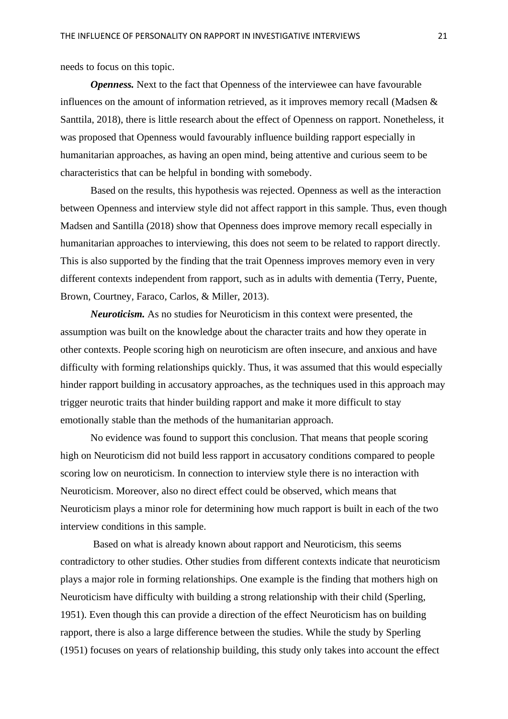needs to focus on this topic.

*Openness.* Next to the fact that Openness of the interviewee can have favourable influences on the amount of information retrieved, as it improves memory recall (Madsen & Santtila, 2018), there is little research about the effect of Openness on rapport. Nonetheless, it was proposed that Openness would favourably influence building rapport especially in humanitarian approaches, as having an open mind, being attentive and curious seem to be characteristics that can be helpful in bonding with somebody.

Based on the results, this hypothesis was rejected. Openness as well as the interaction between Openness and interview style did not affect rapport in this sample. Thus, even though Madsen and Santilla (2018) show that Openness does improve memory recall especially in humanitarian approaches to interviewing, this does not seem to be related to rapport directly. This is also supported by the finding that the trait Openness improves memory even in very different contexts independent from rapport, such as in adults with dementia (Terry, Puente, Brown, Courtney, Faraco, Carlos, & Miller, 2013).

*Neuroticism.* As no studies for Neuroticism in this context were presented, the assumption was built on the knowledge about the character traits and how they operate in other contexts. People scoring high on neuroticism are often insecure, and anxious and have difficulty with forming relationships quickly. Thus, it was assumed that this would especially hinder rapport building in accusatory approaches, as the techniques used in this approach may trigger neurotic traits that hinder building rapport and make it more difficult to stay emotionally stable than the methods of the humanitarian approach.

No evidence was found to support this conclusion. That means that people scoring high on Neuroticism did not build less rapport in accusatory conditions compared to people scoring low on neuroticism. In connection to interview style there is no interaction with Neuroticism. Moreover, also no direct effect could be observed, which means that Neuroticism plays a minor role for determining how much rapport is built in each of the two interview conditions in this sample.

Based on what is already known about rapport and Neuroticism, this seems contradictory to other studies. Other studies from different contexts indicate that neuroticism plays a major role in forming relationships. One example is the finding that mothers high on Neuroticism have difficulty with building a strong relationship with their child (Sperling, 1951). Even though this can provide a direction of the effect Neuroticism has on building rapport, there is also a large difference between the studies. While the study by Sperling (1951) focuses on years of relationship building, this study only takes into account the effect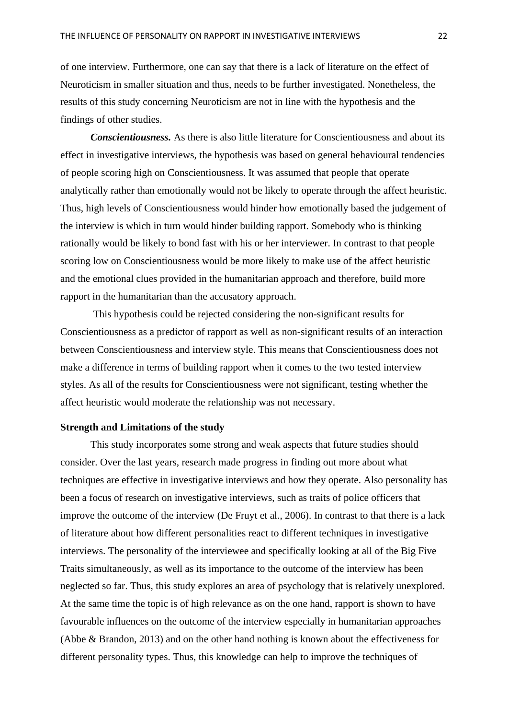of one interview. Furthermore, one can say that there is a lack of literature on the effect of Neuroticism in smaller situation and thus, needs to be further investigated. Nonetheless, the results of this study concerning Neuroticism are not in line with the hypothesis and the findings of other studies.

*Conscientiousness.* As there is also little literature for Conscientiousness and about its effect in investigative interviews, the hypothesis was based on general behavioural tendencies of people scoring high on Conscientiousness. It was assumed that people that operate analytically rather than emotionally would not be likely to operate through the affect heuristic. Thus, high levels of Conscientiousness would hinder how emotionally based the judgement of the interview is which in turn would hinder building rapport. Somebody who is thinking rationally would be likely to bond fast with his or her interviewer. In contrast to that people scoring low on Conscientiousness would be more likely to make use of the affect heuristic and the emotional clues provided in the humanitarian approach and therefore, build more rapport in the humanitarian than the accusatory approach.

This hypothesis could be rejected considering the non-significant results for Conscientiousness as a predictor of rapport as well as non-significant results of an interaction between Conscientiousness and interview style. This means that Conscientiousness does not make a difference in terms of building rapport when it comes to the two tested interview styles. As all of the results for Conscientiousness were not significant, testing whether the affect heuristic would moderate the relationship was not necessary.

### **Strength and Limitations of the study**

This study incorporates some strong and weak aspects that future studies should consider. Over the last years, research made progress in finding out more about what techniques are effective in investigative interviews and how they operate. Also personality has been a focus of research on investigative interviews, such as traits of police officers that improve the outcome of the interview (De Fruyt et al., 2006). In contrast to that there is a lack of literature about how different personalities react to different techniques in investigative interviews. The personality of the interviewee and specifically looking at all of the Big Five Traits simultaneously, as well as its importance to the outcome of the interview has been neglected so far. Thus, this study explores an area of psychology that is relatively unexplored. At the same time the topic is of high relevance as on the one hand, rapport is shown to have favourable influences on the outcome of the interview especially in humanitarian approaches (Abbe & Brandon, 2013) and on the other hand nothing is known about the effectiveness for different personality types. Thus, this knowledge can help to improve the techniques of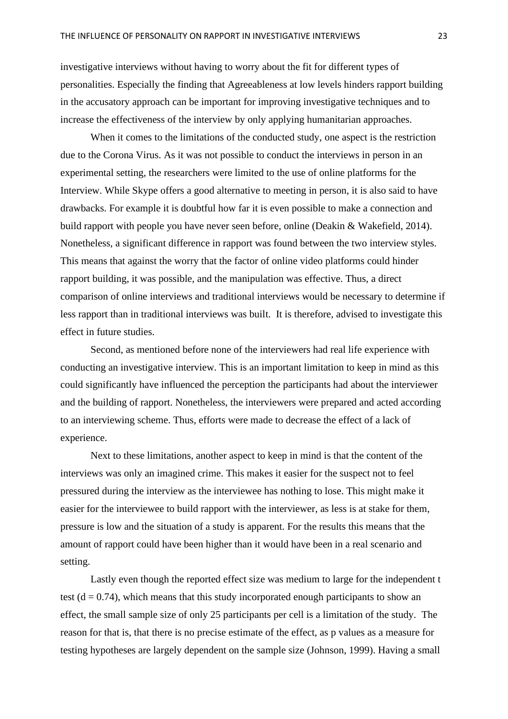investigative interviews without having to worry about the fit for different types of personalities. Especially the finding that Agreeableness at low levels hinders rapport building in the accusatory approach can be important for improving investigative techniques and to increase the effectiveness of the interview by only applying humanitarian approaches.

When it comes to the limitations of the conducted study, one aspect is the restriction due to the Corona Virus. As it was not possible to conduct the interviews in person in an experimental setting, the researchers were limited to the use of online platforms for the Interview. While Skype offers a good alternative to meeting in person, it is also said to have drawbacks. For example it is doubtful how far it is even possible to make a connection and build rapport with people you have never seen before, online (Deakin & Wakefield, 2014). Nonetheless, a significant difference in rapport was found between the two interview styles. This means that against the worry that the factor of online video platforms could hinder rapport building, it was possible, and the manipulation was effective. Thus, a direct comparison of online interviews and traditional interviews would be necessary to determine if less rapport than in traditional interviews was built. It is therefore, advised to investigate this effect in future studies.

Second, as mentioned before none of the interviewers had real life experience with conducting an investigative interview. This is an important limitation to keep in mind as this could significantly have influenced the perception the participants had about the interviewer and the building of rapport. Nonetheless, the interviewers were prepared and acted according to an interviewing scheme. Thus, efforts were made to decrease the effect of a lack of experience.

Next to these limitations, another aspect to keep in mind is that the content of the interviews was only an imagined crime. This makes it easier for the suspect not to feel pressured during the interview as the interviewee has nothing to lose. This might make it easier for the interviewee to build rapport with the interviewer, as less is at stake for them, pressure is low and the situation of a study is apparent. For the results this means that the amount of rapport could have been higher than it would have been in a real scenario and setting.

Lastly even though the reported effect size was medium to large for the independent t test  $(d = 0.74)$ , which means that this study incorporated enough participants to show an effect, the small sample size of only 25 participants per cell is a limitation of the study. The reason for that is, that there is no precise estimate of the effect, as p values as a measure for testing hypotheses are largely dependent on the sample size (Johnson, 1999). Having a small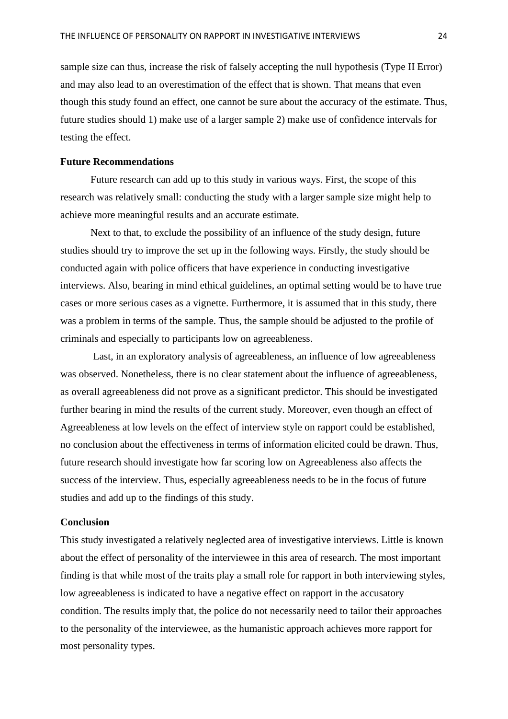sample size can thus, increase the risk of falsely accepting the null hypothesis (Type II Error) and may also lead to an overestimation of the effect that is shown. That means that even though this study found an effect, one cannot be sure about the accuracy of the estimate. Thus, future studies should 1) make use of a larger sample 2) make use of confidence intervals for testing the effect.

### **Future Recommendations**

Future research can add up to this study in various ways. First, the scope of this research was relatively small: conducting the study with a larger sample size might help to achieve more meaningful results and an accurate estimate.

Next to that, to exclude the possibility of an influence of the study design, future studies should try to improve the set up in the following ways. Firstly, the study should be conducted again with police officers that have experience in conducting investigative interviews. Also, bearing in mind ethical guidelines, an optimal setting would be to have true cases or more serious cases as a vignette. Furthermore, it is assumed that in this study, there was a problem in terms of the sample. Thus, the sample should be adjusted to the profile of criminals and especially to participants low on agreeableness.

Last, in an exploratory analysis of agreeableness, an influence of low agreeableness was observed. Nonetheless, there is no clear statement about the influence of agreeableness, as overall agreeableness did not prove as a significant predictor. This should be investigated further bearing in mind the results of the current study. Moreover, even though an effect of Agreeableness at low levels on the effect of interview style on rapport could be established, no conclusion about the effectiveness in terms of information elicited could be drawn. Thus, future research should investigate how far scoring low on Agreeableness also affects the success of the interview. Thus, especially agreeableness needs to be in the focus of future studies and add up to the findings of this study.

### **Conclusion**

This study investigated a relatively neglected area of investigative interviews. Little is known about the effect of personality of the interviewee in this area of research. The most important finding is that while most of the traits play a small role for rapport in both interviewing styles, low agreeableness is indicated to have a negative effect on rapport in the accusatory condition. The results imply that, the police do not necessarily need to tailor their approaches to the personality of the interviewee, as the humanistic approach achieves more rapport for most personality types.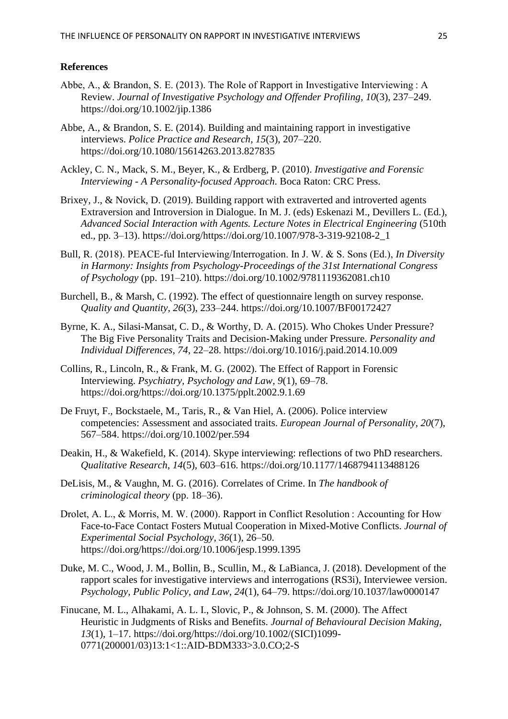### **References**

- Abbe, A., & Brandon, S. E. (2013). The Role of Rapport in Investigative Interviewing : A Review. *Journal of Investigative Psychology and Offender Profiling*, *10*(3), 237–249. https://doi.org/10.1002/jip.1386
- Abbe, A., & Brandon, S. E. (2014). Building and maintaining rapport in investigative interviews. *Police Practice and Research*, *15*(3), 207–220. https://doi.org/10.1080/15614263.2013.827835
- Ackley, C. N., Mack, S. M., Beyer, K., & Erdberg, P. (2010). *Investigative and Forensic Interviewing - A Personality-focused Approach*. Boca Raton: CRC Press.
- Brixey, J., & Novick, D. (2019). Building rapport with extraverted and introverted agents Extraversion and Introversion in Dialogue. In M. J. (eds) Eskenazi M., Devillers L. (Ed.), *Advanced Social Interaction with Agents. Lecture Notes in Electrical Engineering* (510th ed., pp. 3–13). https://doi.org/https://doi.org/10.1007/978-3-319-92108-2\_1
- Bull, R. (2018). PEACE‐ful Interviewing/Interrogation. In J. W. & S. Sons (Ed.), *In Diversity in Harmony: Insights from Psychology-Proceedings of the 31st International Congress of Psychology* (pp. 191–210). https://doi.org/10.1002/9781119362081.ch10
- Burchell, B., & Marsh, C. (1992). The effect of questionnaire length on survey response. *Quality and Quantity*, *26*(3), 233–244. https://doi.org/10.1007/BF00172427
- Byrne, K. A., Silasi-Mansat, C. D., & Worthy, D. A. (2015). Who Chokes Under Pressure? The Big Five Personality Traits and Decision-Making under Pressure. *Personality and Individual Differences*, *74*, 22–28. https://doi.org/10.1016/j.paid.2014.10.009
- Collins, R., Lincoln, R., & Frank, M. G. (2002). The Effect of Rapport in Forensic Interviewing. *Psychiatry, Psychology and Law*, *9*(1), 69–78. https://doi.org/https://doi.org/10.1375/pplt.2002.9.1.69
- De Fruyt, F., Bockstaele, M., Taris, R., & Van Hiel, A. (2006). Police interview competencies: Assessment and associated traits. *European Journal of Personality*, *20*(7), 567–584. https://doi.org/10.1002/per.594
- Deakin, H., & Wakefield, K. (2014). Skype interviewing: reflections of two PhD researchers. *Qualitative Research*, *14*(5), 603–616. https://doi.org/10.1177/1468794113488126
- DeLisis, M., & Vaughn, M. G. (2016). Correlates of Crime. In *The handbook of criminological theory* (pp. 18–36).
- Drolet, A. L., & Morris, M. W. (2000). Rapport in Conflict Resolution : Accounting for How Face-to-Face Contact Fosters Mutual Cooperation in Mixed-Motive Conflicts. *Journal of Experimental Social Psychology*, *36*(1), 26–50. https://doi.org/https://doi.org/10.1006/jesp.1999.1395
- Duke, M. C., Wood, J. M., Bollin, B., Scullin, M., & LaBianca, J. (2018). Development of the rapport scales for investigative interviews and interrogations (RS3i), Interviewee version. *Psychology, Public Policy, and Law*, *24*(1), 64–79. https://doi.org/10.1037/law0000147
- Finucane, M. L., Alhakami, A. L. I., Slovic, P., & Johnson, S. M. (2000). The Affect Heuristic in Judgments of Risks and Benefits. *Journal of Behavioural Decision Making*, *13*(1), 1–17. https://doi.org/https://doi.org/10.1002/(SICI)1099- 0771(200001/03)13:1<1::AID-BDM333>3.0.CO;2-S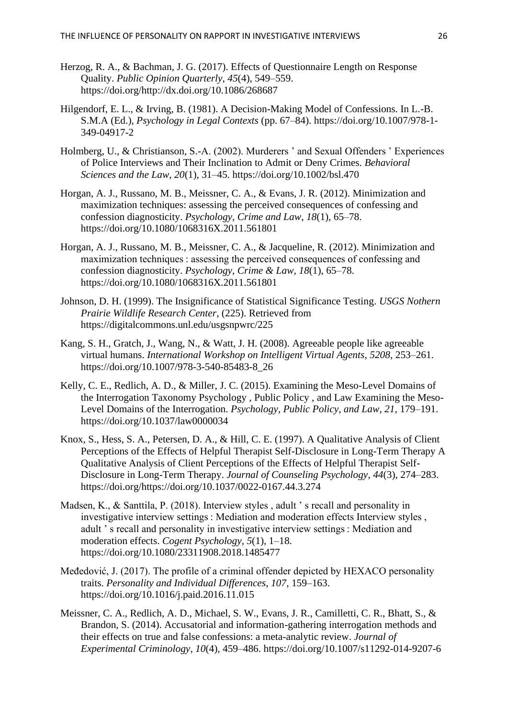- Herzog, R. A., & Bachman, J. G. (2017). Effects of Questionnaire Length on Response Quality. *Public Opinion Quarterly*, *45*(4), 549–559. https://doi.org/http://dx.doi.org/10.1086/268687
- Hilgendorf, E. L., & Irving, B. (1981). A Decision-Making Model of Confessions. In L.-B. S.M.A (Ed.), *Psychology in Legal Contexts* (pp. 67–84). https://doi.org/10.1007/978-1- 349-04917-2
- Holmberg, U., & Christianson, S.-A. (2002). Murderers ' and Sexual Offenders ' Experiences of Police Interviews and Their Inclination to Admit or Deny Crimes. *Behavioral Sciences and the Law*, *20*(1), 31–45. https://doi.org/10.1002/bsl.470
- Horgan, A. J., Russano, M. B., Meissner, C. A., & Evans, J. R. (2012). Minimization and maximization techniques: assessing the perceived consequences of confessing and confession diagnosticity. *Psychology, Crime and Law*, *18*(1), 65–78. https://doi.org/10.1080/1068316X.2011.561801
- Horgan, A. J., Russano, M. B., Meissner, C. A., & Jacqueline, R. (2012). Minimization and maximization techniques : assessing the perceived consequences of confessing and confession diagnosticity. *Psychology, Crime & Law*, *18*(1), 65–78. https://doi.org/10.1080/1068316X.2011.561801
- Johnson, D. H. (1999). The Insignificance of Statistical Significance Testing. *USGS Nothern Prairie Wildlife Research Center*, (225). Retrieved from https://digitalcommons.unl.edu/usgsnpwrc/225
- Kang, S. H., Gratch, J., Wang, N., & Watt, J. H. (2008). Agreeable people like agreeable virtual humans. *International Workshop on Intelligent Virtual Agents*, *5208*, 253–261. https://doi.org/10.1007/978-3-540-85483-8\_26
- Kelly, C. E., Redlich, A. D., & Miller, J. C. (2015). Examining the Meso-Level Domains of the Interrogation Taxonomy Psychology , Public Policy , and Law Examining the Meso-Level Domains of the Interrogation. *Psychology, Public Policy, and Law*, *21*, 179–191. https://doi.org/10.1037/law0000034
- Knox, S., Hess, S. A., Petersen, D. A., & Hill, C. E. (1997). A Qualitative Analysis of Client Perceptions of the Effects of Helpful Therapist Self-Disclosure in Long-Term Therapy A Qualitative Analysis of Client Perceptions of the Effects of Helpful Therapist Self-Disclosure in Long-Term Therapy. *Journal of Counseling Psychology*, *44*(3), 274–283. https://doi.org/https://doi.org/10.1037/0022-0167.44.3.274
- Madsen, K., & Santtila, P. (2018). Interview styles , adult ' s recall and personality in investigative interview settings : Mediation and moderation effects Interview styles , adult ' s recall and personality in investigative interview settings : Mediation and moderation effects. *Cogent Psychology*, *5*(1), 1–18. https://doi.org/10.1080/23311908.2018.1485477
- Međedović, J. (2017). The profile of a criminal offender depicted by HEXACO personality traits. *Personality and Individual Differences*, *107*, 159–163. https://doi.org/10.1016/j.paid.2016.11.015
- Meissner, C. A., Redlich, A. D., Michael, S. W., Evans, J. R., Camilletti, C. R., Bhatt, S., & Brandon, S. (2014). Accusatorial and information-gathering interrogation methods and their effects on true and false confessions: a meta-analytic review. *Journal of Experimental Criminology*, *10*(4), 459–486. https://doi.org/10.1007/s11292-014-9207-6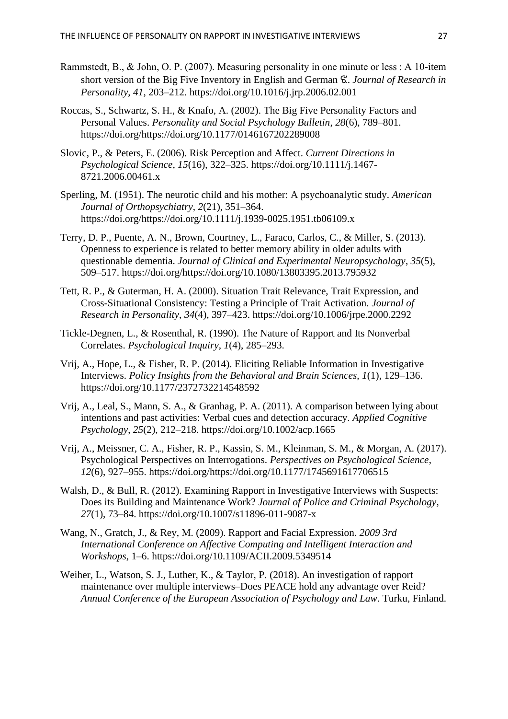- Rammstedt, B., & John, O. P. (2007). Measuring personality in one minute or less : A 10-item short version of the Big Five Inventory in English and German ଝ. *Journal of Research in Personality*, *41*, 203–212. https://doi.org/10.1016/j.jrp.2006.02.001
- Roccas, S., Schwartz, S. H., & Knafo, A. (2002). The Big Five Personality Factors and Personal Values. *Personality and Social Psychology Bulletin*, *28*(6), 789–801. https://doi.org/https://doi.org/10.1177/0146167202289008
- Slovic, P., & Peters, E. (2006). Risk Perception and Affect. *Current Directions in Psychological Science*, *15*(16), 322–325. https://doi.org/10.1111/j.1467- 8721.2006.00461.x
- Sperling, M. (1951). The neurotic child and his mother: A psychoanalytic study. *American Journal of Orthopsychiatry*, *2*(21), 351–364. https://doi.org/https://doi.org/10.1111/j.1939-0025.1951.tb06109.x
- Terry, D. P., Puente, A. N., Brown, Courtney, L., Faraco, Carlos, C., & Miller, S. (2013). Openness to experience is related to better memory ability in older adults with questionable dementia. *Journal of Clinical and Experimental Neuropsychology*, *35*(5), 509–517. https://doi.org/https://doi.org/10.1080/13803395.2013.795932
- Tett, R. P., & Guterman, H. A. (2000). Situation Trait Relevance, Trait Expression, and Cross-Situational Consistency: Testing a Principle of Trait Activation. *Journal of Research in Personality*, *34*(4), 397–423. https://doi.org/10.1006/jrpe.2000.2292
- Tickle-Degnen, L., & Rosenthal, R. (1990). The Nature of Rapport and Its Nonverbal Correlates. *Psychological Inquiry*, *1*(4), 285–293.
- Vrij, A., Hope, L., & Fisher, R. P. (2014). Eliciting Reliable Information in Investigative Interviews. *Policy Insights from the Behavioral and Brain Sciences*, *1*(1), 129–136. https://doi.org/10.1177/2372732214548592
- Vrij, A., Leal, S., Mann, S. A., & Granhag, P. A. (2011). A comparison between lying about intentions and past activities: Verbal cues and detection accuracy. *Applied Cognitive Psychology*, *25*(2), 212–218. https://doi.org/10.1002/acp.1665
- Vrij, A., Meissner, C. A., Fisher, R. P., Kassin, S. M., Kleinman, S. M., & Morgan, A. (2017). Psychological Perspectives on Interrogations. *Perspectives on Psychological Science*, *12*(6), 927–955. https://doi.org/https://doi.org/10.1177/1745691617706515
- Walsh, D., & Bull, R. (2012). Examining Rapport in Investigative Interviews with Suspects: Does its Building and Maintenance Work? *Journal of Police and Criminal Psychology*, *27*(1), 73–84. https://doi.org/10.1007/s11896-011-9087-x
- Wang, N., Gratch, J., & Rey, M. (2009). Rapport and Facial Expression. *2009 3rd International Conference on Affective Computing and Intelligent Interaction and Workshops*, 1–6. https://doi.org/10.1109/ACII.2009.5349514
- Weiher, L., Watson, S. J., Luther, K., & Taylor, P. (2018). An investigation of rapport maintenance over multiple interviews–Does PEACE hold any advantage over Reid? *Annual Conference of the European Association of Psychology and Law*. Turku, Finland.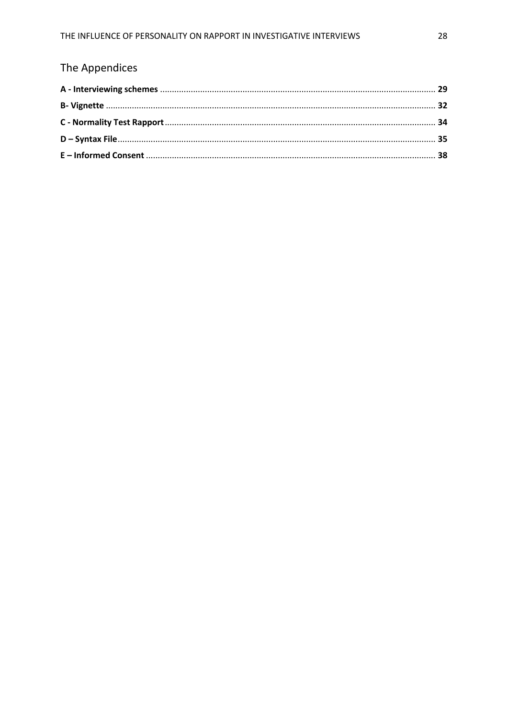# The Appendices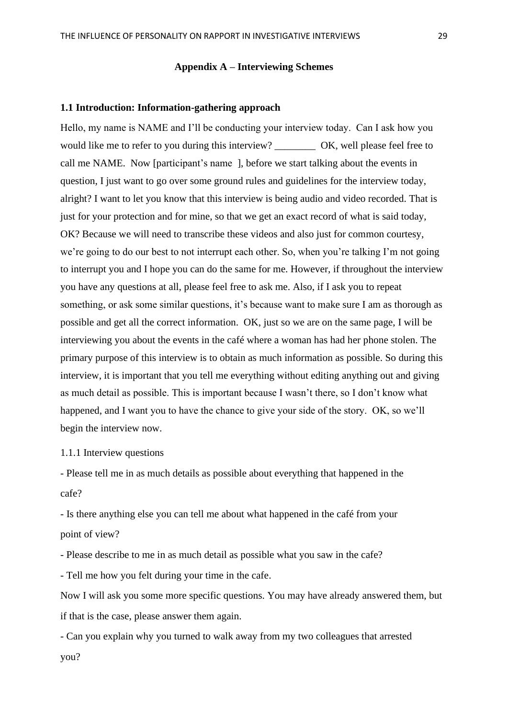### **Appendix A – Interviewing Schemes**

### **1.1 Introduction: Information-gathering approach**

Hello, my name is NAME and I'll be conducting your interview today. Can I ask how you would like me to refer to you during this interview? OK, well please feel free to call me NAME. Now [participant's name ], before we start talking about the events in question, I just want to go over some ground rules and guidelines for the interview today, alright? I want to let you know that this interview is being audio and video recorded. That is just for your protection and for mine, so that we get an exact record of what is said today, OK? Because we will need to transcribe these videos and also just for common courtesy, we're going to do our best to not interrupt each other. So, when you're talking I'm not going to interrupt you and I hope you can do the same for me. However, if throughout the interview you have any questions at all, please feel free to ask me. Also, if I ask you to repeat something, or ask some similar questions, it's because want to make sure I am as thorough as possible and get all the correct information. OK, just so we are on the same page, I will be interviewing you about the events in the café where a woman has had her phone stolen. The primary purpose of this interview is to obtain as much information as possible. So during this interview, it is important that you tell me everything without editing anything out and giving as much detail as possible. This is important because I wasn't there, so I don't know what happened, and I want you to have the chance to give your side of the story. OK, so we'll begin the interview now.

1.1.1 Interview questions

- Please tell me in as much details as possible about everything that happened in the cafe?

- Is there anything else you can tell me about what happened in the café from your point of view?

- Please describe to me in as much detail as possible what you saw in the cafe?

- Tell me how you felt during your time in the cafe.

Now I will ask you some more specific questions. You may have already answered them, but if that is the case, please answer them again.

- Can you explain why you turned to walk away from my two colleagues that arrested you?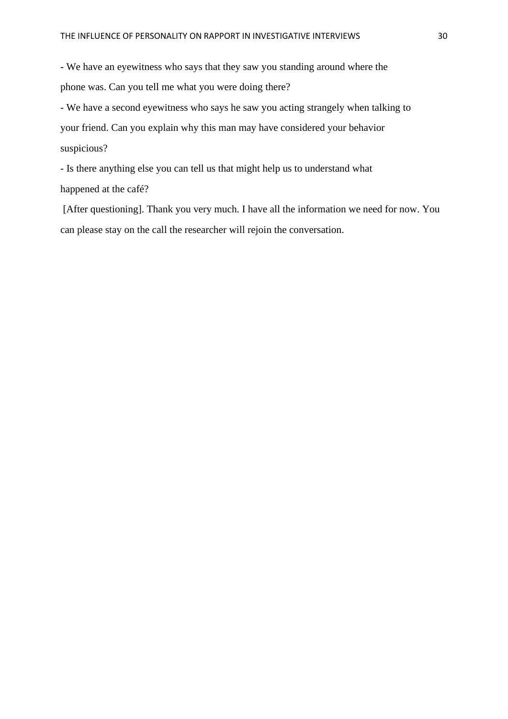- We have an eyewitness who says that they saw you standing around where the phone was. Can you tell me what you were doing there?

- We have a second eyewitness who says he saw you acting strangely when talking to your friend. Can you explain why this man may have considered your behavior suspicious?

- Is there anything else you can tell us that might help us to understand what happened at the café?

[After questioning]. Thank you very much. I have all the information we need for now. You can please stay on the call the researcher will rejoin the conversation.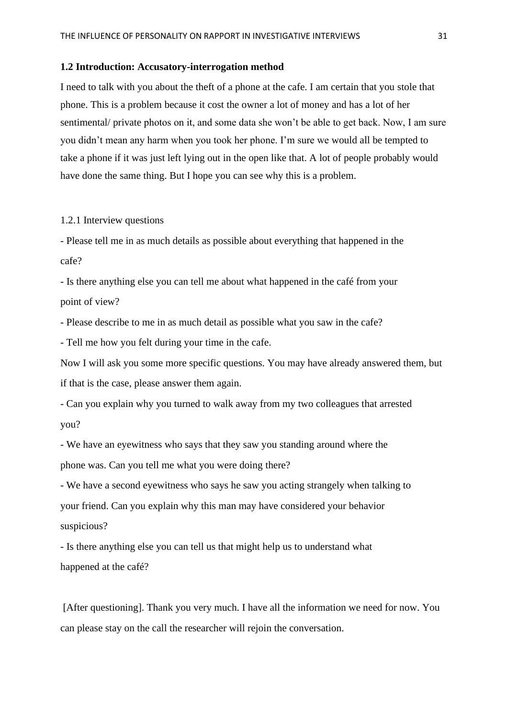#### **1.2 Introduction: Accusatory-interrogation method**

I need to talk with you about the theft of a phone at the cafe. I am certain that you stole that phone. This is a problem because it cost the owner a lot of money and has a lot of her sentimental/ private photos on it, and some data she won't be able to get back. Now, I am sure you didn't mean any harm when you took her phone. I'm sure we would all be tempted to take a phone if it was just left lying out in the open like that. A lot of people probably would have done the same thing. But I hope you can see why this is a problem.

### 1.2.1 Interview questions

- Please tell me in as much details as possible about everything that happened in the cafe?

- Is there anything else you can tell me about what happened in the café from your point of view?

- Please describe to me in as much detail as possible what you saw in the cafe?

- Tell me how you felt during your time in the cafe.

Now I will ask you some more specific questions. You may have already answered them, but if that is the case, please answer them again.

- Can you explain why you turned to walk away from my two colleagues that arrested you?

- We have an eyewitness who says that they saw you standing around where the phone was. Can you tell me what you were doing there?

- We have a second eyewitness who says he saw you acting strangely when talking to your friend. Can you explain why this man may have considered your behavior suspicious?

- Is there anything else you can tell us that might help us to understand what happened at the café?

[After questioning]. Thank you very much. I have all the information we need for now. You can please stay on the call the researcher will rejoin the conversation.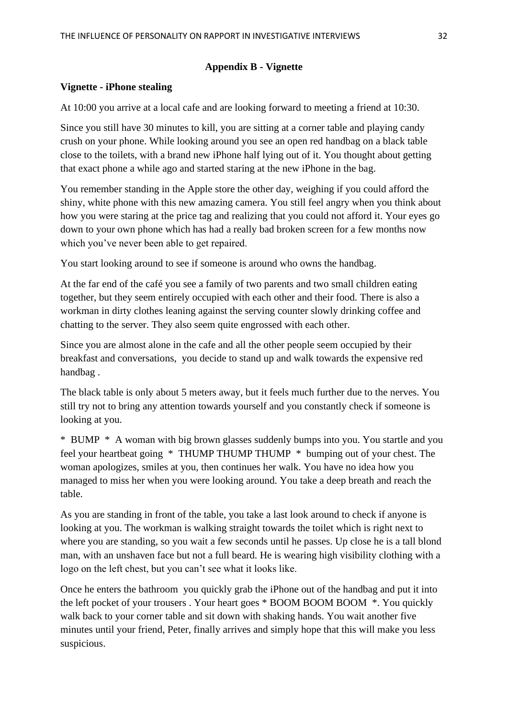# **Appendix B - Vignette**

# **Vignette - iPhone stealing**

At 10:00 you arrive at a local cafe and are looking forward to meeting a friend at 10:30.

Since you still have 30 minutes to kill, you are sitting at a corner table and playing candy crush on your phone. While looking around you see an open red handbag on a black table close to the toilets, with a brand new iPhone half lying out of it. You thought about getting that exact phone a while ago and started staring at the new iPhone in the bag.

You remember standing in the Apple store the other day, weighing if you could afford the shiny, white phone with this new amazing camera. You still feel angry when you think about how you were staring at the price tag and realizing that you could not afford it. Your eyes go down to your own phone which has had a really bad broken screen for a few months now which you've never been able to get repaired.

You start looking around to see if someone is around who owns the handbag.

At the far end of the café you see a family of two parents and two small children eating together, but they seem entirely occupied with each other and their food. There is also a workman in dirty clothes leaning against the serving counter slowly drinking coffee and chatting to the server. They also seem quite engrossed with each other.

Since you are almost alone in the cafe and all the other people seem occupied by their breakfast and conversations, you decide to stand up and walk towards the expensive red handbag .

The black table is only about 5 meters away, but it feels much further due to the nerves. You still try not to bring any attention towards yourself and you constantly check if someone is looking at you.

\* BUMP \* A woman with big brown glasses suddenly bumps into you. You startle and you feel your heartbeat going \* THUMP THUMP THUMP \* bumping out of your chest. The woman apologizes, smiles at you, then continues her walk. You have no idea how you managed to miss her when you were looking around. You take a deep breath and reach the table.

As you are standing in front of the table, you take a last look around to check if anyone is looking at you. The workman is walking straight towards the toilet which is right next to where you are standing, so you wait a few seconds until he passes. Up close he is a tall blond man, with an unshaven face but not a full beard. He is wearing high visibility clothing with a logo on the left chest, but you can't see what it looks like.

Once he enters the bathroom you quickly grab the iPhone out of the handbag and put it into the left pocket of your trousers . Your heart goes \* BOOM BOOM BOOM \*. You quickly walk back to your corner table and sit down with shaking hands. You wait another five minutes until your friend, Peter, finally arrives and simply hope that this will make you less suspicious.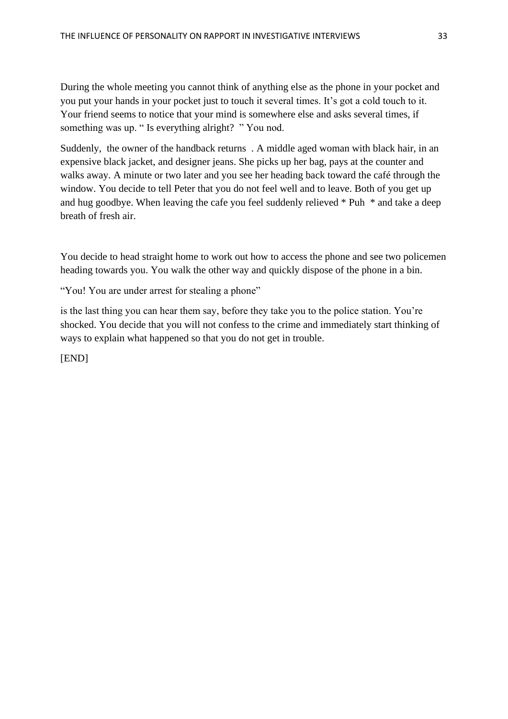During the whole meeting you cannot think of anything else as the phone in your pocket and you put your hands in your pocket just to touch it several times. It's got a cold touch to it. Your friend seems to notice that your mind is somewhere else and asks several times, if something was up. " Is everything alright? " You nod.

Suddenly, the owner of the handback returns . A middle aged woman with black hair, in an expensive black jacket, and designer jeans. She picks up her bag, pays at the counter and walks away. A minute or two later and you see her heading back toward the café through the window. You decide to tell Peter that you do not feel well and to leave. Both of you get up and hug goodbye. When leaving the cafe you feel suddenly relieved \* Puh \* and take a deep breath of fresh air.

You decide to head straight home to work out how to access the phone and see two policemen heading towards you. You walk the other way and quickly dispose of the phone in a bin.

"You! You are under arrest for stealing a phone"

is the last thing you can hear them say, before they take you to the police station. You're shocked. You decide that you will not confess to the crime and immediately start thinking of ways to explain what happened so that you do not get in trouble.

[END]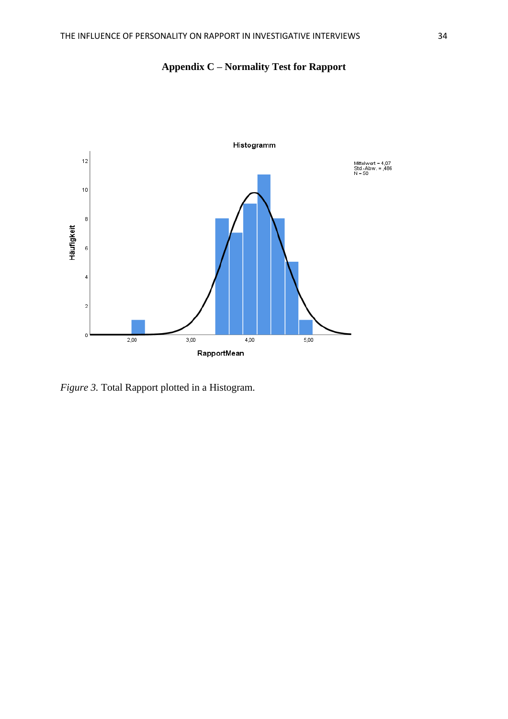

**Appendix C – Normality Test for Rapport**

*Figure 3.* Total Rapport plotted in a Histogram.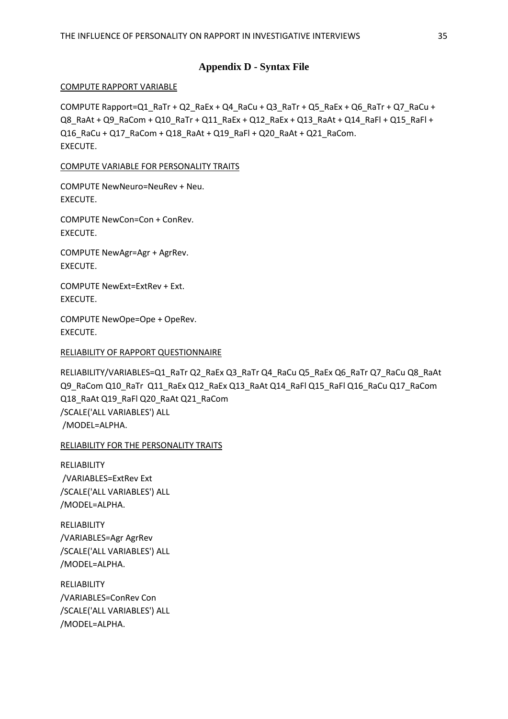# **Appendix D - Syntax File**

### COMPUTE RAPPORT VARIABLE

COMPUTE Rapport=Q1\_RaTr + Q2\_RaEx + Q4\_RaCu + Q3\_RaTr + Q5\_RaEx + Q6\_RaTr + Q7\_RaCu + Q8\_RaAt + Q9\_RaCom + Q10\_RaTr + Q11\_RaEx + Q12\_RaEx + Q13\_RaAt + Q14\_RaFl + Q15\_RaFl + Q16\_RaCu + Q17\_RaCom + Q18\_RaAt + Q19\_RaFl + Q20\_RaAt + Q21\_RaCom. EXECUTE.

### COMPUTE VARIABLE FOR PERSONALITY TRAITS

COMPUTE NewNeuro=NeuRev + Neu. EXECUTE.

COMPUTE NewCon=Con + ConRev. EXECUTE.

COMPUTE NewAgr=Agr + AgrRev. EXECUTE.

COMPUTE NewExt=ExtRev + Ext. EXECUTE.

COMPUTE NewOpe=Ope + OpeRev. EXECUTE.

### RELIABILITY OF RAPPORT QUESTIONNAIRE

RELIABILITY/VARIABLES=Q1\_RaTr Q2\_RaEx Q3\_RaTr Q4\_RaCu Q5\_RaEx Q6\_RaTr Q7\_RaCu Q8\_RaAt Q9\_RaCom Q10\_RaTr Q11\_RaEx Q12\_RaEx Q13\_RaAt Q14\_RaFl Q15\_RaFl Q16\_RaCu Q17\_RaCom Q18\_RaAt Q19\_RaFl Q20\_RaAt Q21\_RaCom /SCALE('ALL VARIABLES') ALL /MODEL=ALPHA.

# RELIABILITY FOR THE PERSONALITY TRAITS

RELIABILITY /VARIABLES=ExtRev Ext /SCALE('ALL VARIABLES') ALL /MODEL=ALPHA.

RELIABILITY /VARIABLES=Agr AgrRev /SCALE('ALL VARIABLES') ALL /MODEL=ALPHA.

RELIABILITY /VARIABLES=ConRev Con /SCALE('ALL VARIABLES') ALL /MODEL=ALPHA.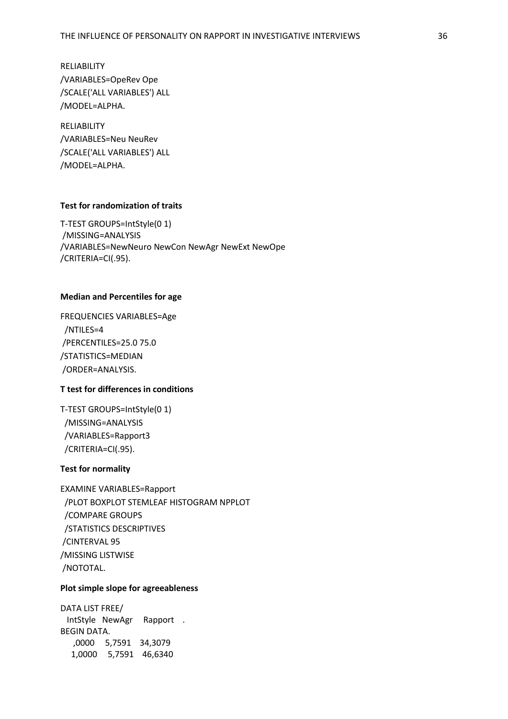RELIABILITY /VARIABLES=OpeRev Ope /SCALE('ALL VARIABLES') ALL /MODEL=ALPHA.

RELIABILITY /VARIABLES=Neu NeuRev /SCALE('ALL VARIABLES') ALL /MODEL=ALPHA.

### **Test for randomization of traits**

T-TEST GROUPS=IntStyle(0 1) /MISSING=ANALYSIS /VARIABLES=NewNeuro NewCon NewAgr NewExt NewOpe /CRITERIA=CI(.95).

#### **Median and Percentiles for age**

FREQUENCIES VARIABLES=Age /NTILES=4 /PERCENTILES=25.0 75.0 /STATISTICS=MEDIAN /ORDER=ANALYSIS.

# **T test for differences in conditions**

T-TEST GROUPS=IntStyle(0 1) /MISSING=ANALYSIS /VARIABLES=Rapport3 /CRITERIA=CI(.95).

### **Test for normality**

EXAMINE VARIABLES=Rapport /PLOT BOXPLOT STEMLEAF HISTOGRAM NPPLOT /COMPARE GROUPS /STATISTICS DESCRIPTIVES /CINTERVAL 95 /MISSING LISTWISE /NOTOTAL.

### **Plot simple slope for agreeableness**

DATA LIST FREE/ IntStyle NewAgr Rapport . BEGIN DATA. ,0000 5,7591 34,3079 1,0000 5,7591 46,6340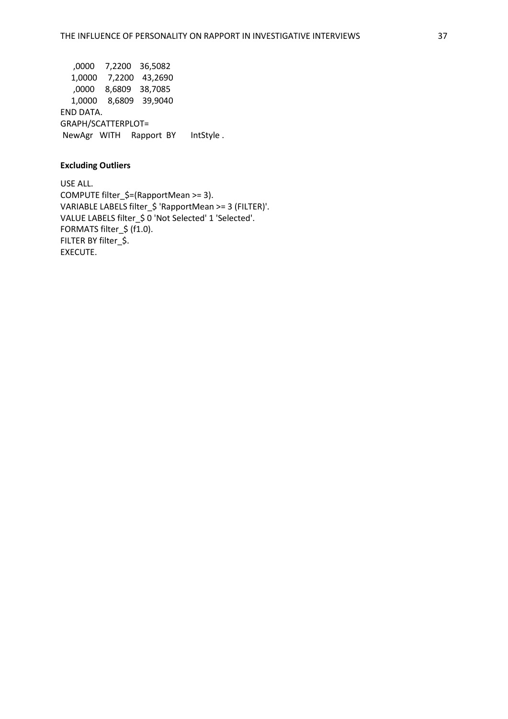,0000 7,2200 36,5082 1,0000 7,2200 43,2690 ,0000 8,6809 38,7085 1,0000 8,6809 39,9040 END DATA. GRAPH/SCATTERPLOT= NewAgr WITH Rapport BY IntStyle .

### **Excluding Outliers**

USE ALL. COMPUTE filter\_\$=(RapportMean >= 3). VARIABLE LABELS filter\_\$ 'RapportMean >= 3 (FILTER)'. VALUE LABELS filter\_\$ 0 'Not Selected' 1 'Selected'. FORMATS filter\_\$ (f1.0). FILTER BY filter \$. EXECUTE.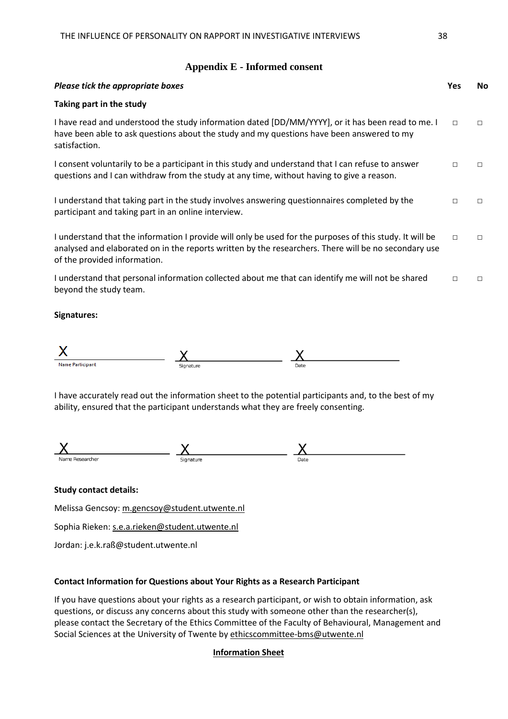### **Appendix E - Informed consent**

| Please tick the appropriate boxes                                                                                                                                                                                                                | Yes    | No. |
|--------------------------------------------------------------------------------------------------------------------------------------------------------------------------------------------------------------------------------------------------|--------|-----|
| Taking part in the study                                                                                                                                                                                                                         |        |     |
| I have read and understood the study information dated [DD/MM/YYYY], or it has been read to me. I<br>have been able to ask questions about the study and my questions have been answered to my<br>satisfaction.                                  | $\Box$ | П   |
| I consent voluntarily to be a participant in this study and understand that I can refuse to answer<br>questions and I can withdraw from the study at any time, without having to give a reason.                                                  | $\Box$ | П   |
| I understand that taking part in the study involves answering questionnaires completed by the<br>participant and taking part in an online interview.                                                                                             | $\Box$ | П   |
| I understand that the information I provide will only be used for the purposes of this study. It will be<br>analysed and elaborated on in the reports written by the researchers. There will be no secondary use<br>of the provided information. | $\Box$ | П   |
| I understand that personal information collected about me that can identify me will not be shared<br>beyond the study team.                                                                                                                      | $\Box$ | П   |

**Signatures:**

| Name Participant | Signature | Date |
|------------------|-----------|------|

I have accurately read out the information sheet to the potential participants and, to the best of my ability, ensured that the participant understands what they are freely consenting.



### **Study contact details:**

Melissa Gencsoy: [m.gencsoy@student.utwente.nl](mailto:m.gencsoy@student.utwente.nl)

Sophia Rieken: [s.e.a.rieken@student.utwente.nl](mailto:s.e.a.rieken@student.utwente.nl)

Jordan: j.e.k.raß@student.utwente.nl

# **Contact Information for Questions about Your Rights as a Research Participant**

If you have questions about your rights as a research participant, or wish to obtain information, ask questions, or discuss any concerns about this study with someone other than the researcher(s), please contact the Secretary of the Ethics Committee of the Faculty of Behavioural, Management and Social Sciences at the University of Twente by [ethicscommittee-bms@utwente.nl](mailto:ethicscommittee-bms@utwente.nl)

### **Information Sheet**